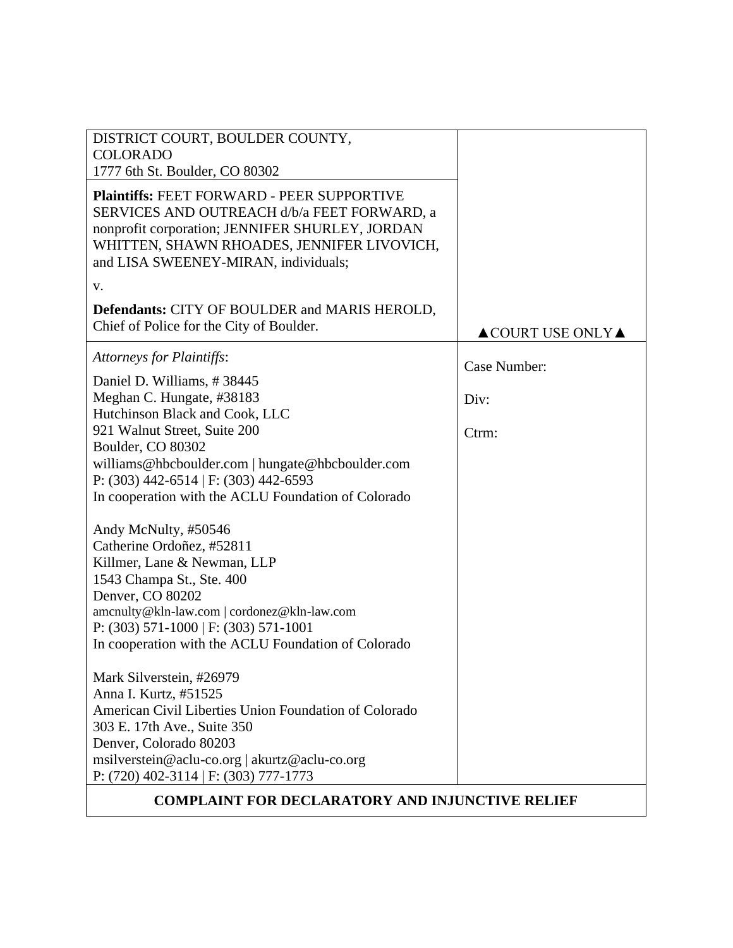| DISTRICT COURT, BOULDER COUNTY,<br><b>COLORADO</b>                                                                                                                                                                                        |                                        |
|-------------------------------------------------------------------------------------------------------------------------------------------------------------------------------------------------------------------------------------------|----------------------------------------|
| 1777 6th St. Boulder, CO 80302                                                                                                                                                                                                            |                                        |
| <b>Plaintiffs: FEET FORWARD - PEER SUPPORTIVE</b><br>SERVICES AND OUTREACH d/b/a FEET FORWARD, a<br>nonprofit corporation; JENNIFER SHURLEY, JORDAN<br>WHITTEN, SHAWN RHOADES, JENNIFER LIVOVICH,<br>and LISA SWEENEY-MIRAN, individuals; |                                        |
| V.                                                                                                                                                                                                                                        |                                        |
| <b>Defendants: CITY OF BOULDER and MARIS HEROLD,</b><br>Chief of Police for the City of Boulder.                                                                                                                                          | $\triangle$ COURT USE ONLY $\triangle$ |
| Attorneys for Plaintiffs:                                                                                                                                                                                                                 | Case Number:                           |
| Daniel D. Williams, #38445                                                                                                                                                                                                                |                                        |
| Meghan C. Hungate, #38183<br>Hutchinson Black and Cook, LLC                                                                                                                                                                               | Div:                                   |
| 921 Walnut Street, Suite 200                                                                                                                                                                                                              | Ctrm:                                  |
| Boulder, CO 80302                                                                                                                                                                                                                         |                                        |
| williams@hbcboulder.com   hungate@hbcboulder.com<br>P: $(303)$ 442-6514   F: $(303)$ 442-6593                                                                                                                                             |                                        |
| In cooperation with the ACLU Foundation of Colorado                                                                                                                                                                                       |                                        |
| Andy McNulty, #50546                                                                                                                                                                                                                      |                                        |
| Catherine Ordoñez, #52811                                                                                                                                                                                                                 |                                        |
| Killmer, Lane & Newman, LLP                                                                                                                                                                                                               |                                        |
| 1543 Champa St., Ste. 400<br>Denver, CO 80202                                                                                                                                                                                             |                                        |
| amcnulty@kln-law.com   cordonez@kln-law.com                                                                                                                                                                                               |                                        |
| P: $(303)$ 571-1000   F: $(303)$ 571-1001                                                                                                                                                                                                 |                                        |
| In cooperation with the ACLU Foundation of Colorado                                                                                                                                                                                       |                                        |
| Mark Silverstein, #26979                                                                                                                                                                                                                  |                                        |
| Anna I. Kurtz, #51525                                                                                                                                                                                                                     |                                        |
| American Civil Liberties Union Foundation of Colorado<br>303 E. 17th Ave., Suite 350                                                                                                                                                      |                                        |
| Denver, Colorado 80203                                                                                                                                                                                                                    |                                        |
| msilverstein@aclu-co.org   akurtz@aclu-co.org                                                                                                                                                                                             |                                        |
| P: $(720)$ 402-3114   F: $(303)$ 777-1773                                                                                                                                                                                                 |                                        |
| <b>COMPLAINT FOR DECLARATORY AND INJUNCTIVE RELIEF</b>                                                                                                                                                                                    |                                        |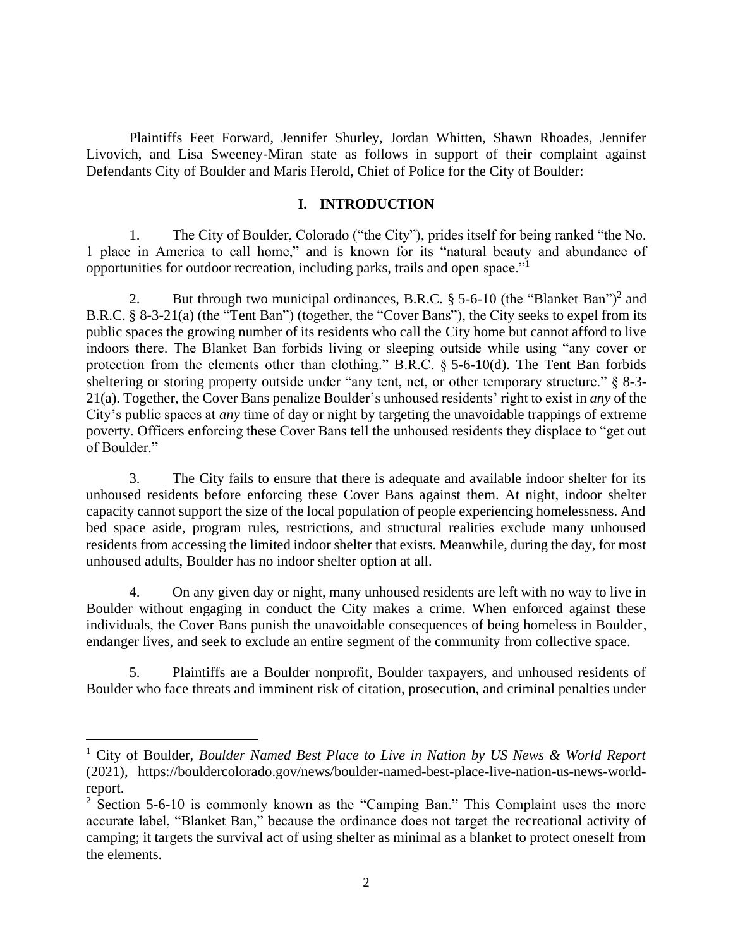Plaintiffs Feet Forward, Jennifer Shurley, Jordan Whitten, Shawn Rhoades, Jennifer Livovich, and Lisa Sweeney-Miran state as follows in support of their complaint against Defendants City of Boulder and Maris Herold, Chief of Police for the City of Boulder:

## **I. INTRODUCTION**

1. The City of Boulder, Colorado ("the City"), prides itself for being ranked "the No. 1 place in America to call home," and is known for its "natural beauty and abundance of opportunities for outdoor recreation, including parks, trails and open space."<sup>1</sup>

2. But through two municipal ordinances, B.R.C.  $\S$  5-6-10 (the "Blanket Ban")<sup>2</sup> and B.R.C. § 8-3-21(a) (the "Tent Ban") (together, the "Cover Bans"), the City seeks to expel from its public spaces the growing number of its residents who call the City home but cannot afford to live indoors there. The Blanket Ban forbids living or sleeping outside while using "any cover or protection from the elements other than clothing." B.R.C. § 5-6-10(d). The Tent Ban forbids sheltering or storing property outside under "any tent, net, or other temporary structure." § 8-3-21(a). Together, the Cover Bans penalize Boulder's unhoused residents' right to exist in *any* of the City's public spaces at *any* time of day or night by targeting the unavoidable trappings of extreme poverty. Officers enforcing these Cover Bans tell the unhoused residents they displace to "get out of Boulder."

3. The City fails to ensure that there is adequate and available indoor shelter for its unhoused residents before enforcing these Cover Bans against them. At night, indoor shelter capacity cannot support the size of the local population of people experiencing homelessness. And bed space aside, program rules, restrictions, and structural realities exclude many unhoused residents from accessing the limited indoor shelter that exists. Meanwhile, during the day, for most unhoused adults, Boulder has no indoor shelter option at all.

4. On any given day or night, many unhoused residents are left with no way to live in Boulder without engaging in conduct the City makes a crime. When enforced against these individuals, the Cover Bans punish the unavoidable consequences of being homeless in Boulder, endanger lives, and seek to exclude an entire segment of the community from collective space.

5. Plaintiffs are a Boulder nonprofit, Boulder taxpayers, and unhoused residents of Boulder who face threats and imminent risk of citation, prosecution, and criminal penalties under

<sup>1</sup> City of Boulder, *Boulder Named Best Place to Live in Nation by US News & World Report* (2021), https://bouldercolorado.gov/news/boulder-named-best-place-live-nation-us-news-worldreport.

 $2$  Section 5-6-10 is commonly known as the "Camping Ban." This Complaint uses the more accurate label, "Blanket Ban," because the ordinance does not target the recreational activity of camping; it targets the survival act of using shelter as minimal as a blanket to protect oneself from the elements.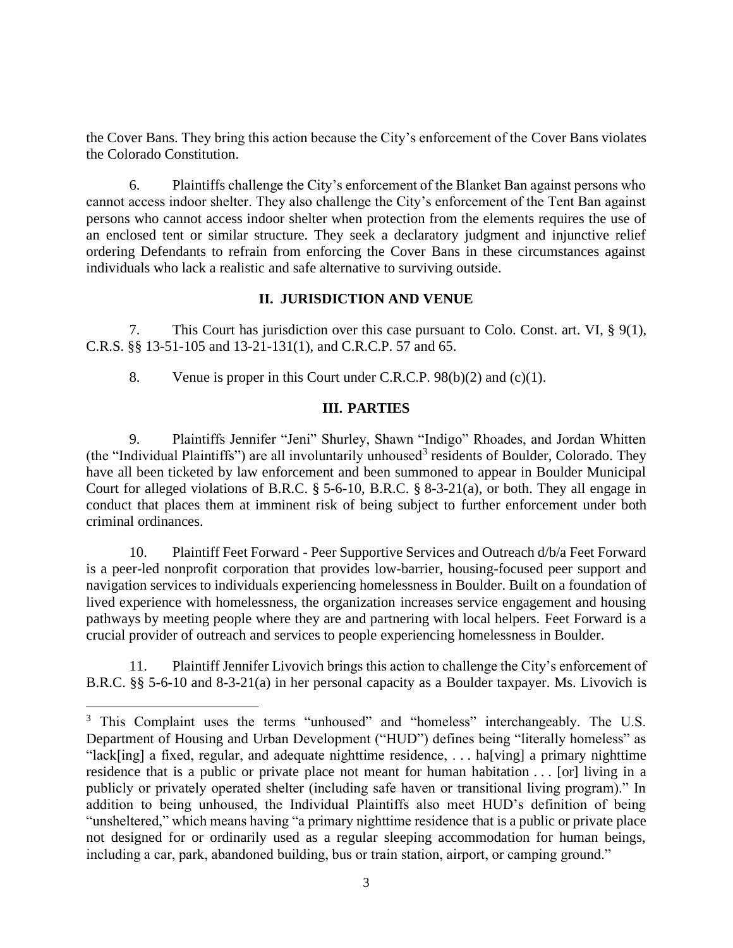the Cover Bans. They bring this action because the City's enforcement of the Cover Bans violates the Colorado Constitution.

6. Plaintiffs challenge the City's enforcement of the Blanket Ban against persons who cannot access indoor shelter. They also challenge the City's enforcement of the Tent Ban against persons who cannot access indoor shelter when protection from the elements requires the use of an enclosed tent or similar structure. They seek a declaratory judgment and injunctive relief ordering Defendants to refrain from enforcing the Cover Bans in these circumstances against individuals who lack a realistic and safe alternative to surviving outside.

## **II. JURISDICTION AND VENUE**

7. This Court has jurisdiction over this case pursuant to Colo. Const. art. VI, § 9(1), C.R.S. §§ 13-51-105 and 13-21-131(1), and C.R.C.P. 57 and 65.

8. Venue is proper in this Court under C.R.C.P. 98(b)(2) and (c)(1).

## **III. PARTIES**

9. Plaintiffs Jennifer "Jeni" Shurley, Shawn "Indigo" Rhoades, and Jordan Whitten (the "Individual Plaintiffs") are all involuntarily unhoused<sup>3</sup> residents of Boulder, Colorado. They have all been ticketed by law enforcement and been summoned to appear in Boulder Municipal Court for alleged violations of B.R.C. § 5-6-10, B.R.C. § 8-3-21(a), or both. They all engage in conduct that places them at imminent risk of being subject to further enforcement under both criminal ordinances.

10. Plaintiff Feet Forward - Peer Supportive Services and Outreach d/b/a Feet Forward is a peer-led nonprofit corporation that provides low-barrier, housing-focused peer support and navigation services to individuals experiencing homelessness in Boulder. Built on a foundation of lived experience with homelessness, the organization increases service engagement and housing pathways by meeting people where they are and partnering with local helpers. Feet Forward is a crucial provider of outreach and services to people experiencing homelessness in Boulder.

11. Plaintiff Jennifer Livovich brings this action to challenge the City's enforcement of B.R.C. §§ 5-6-10 and 8-3-21(a) in her personal capacity as a Boulder taxpayer. Ms. Livovich is

<sup>&</sup>lt;sup>3</sup> This Complaint uses the terms "unhoused" and "homeless" interchangeably. The U.S. Department of Housing and Urban Development ("HUD") defines being "literally homeless" as "lack[ing] a fixed, regular, and adequate nighttime residence, . . . ha[ving] a primary nighttime residence that is a public or private place not meant for human habitation . . . [or] living in a publicly or privately operated shelter (including safe haven or transitional living program)." In addition to being unhoused, the Individual Plaintiffs also meet HUD's definition of being "unsheltered," which means having "a primary nighttime residence that is a public or private place not designed for or ordinarily used as a regular sleeping accommodation for human beings, including a car, park, abandoned building, bus or train station, airport, or camping ground."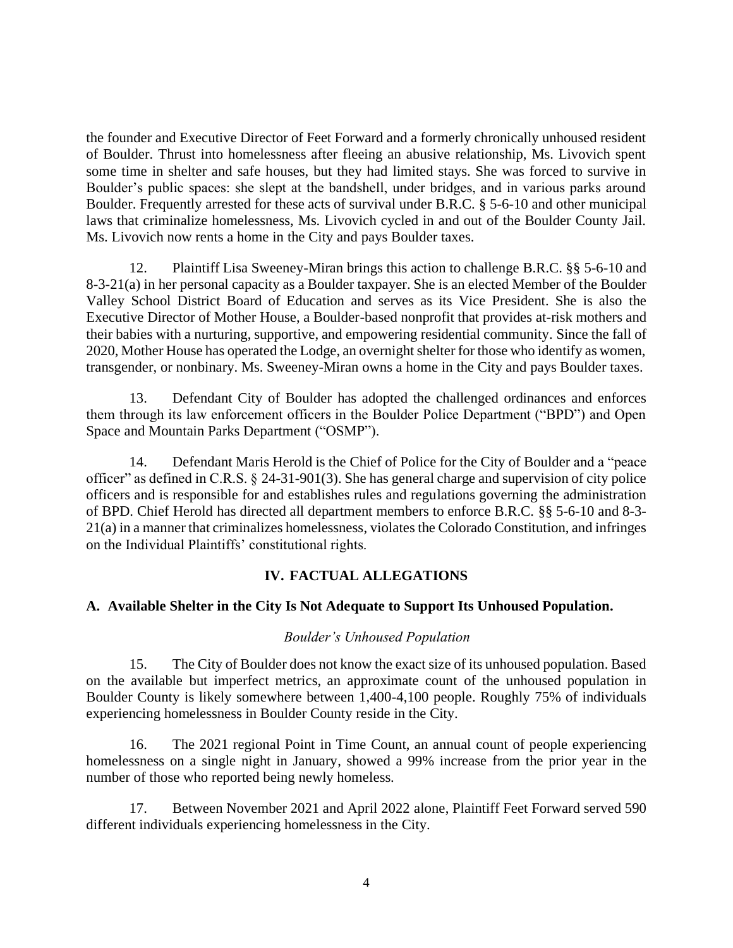the founder and Executive Director of Feet Forward and a formerly chronically unhoused resident of Boulder. Thrust into homelessness after fleeing an abusive relationship, Ms. Livovich spent some time in shelter and safe houses, but they had limited stays. She was forced to survive in Boulder's public spaces: she slept at the bandshell, under bridges, and in various parks around Boulder. Frequently arrested for these acts of survival under B.R.C. § 5-6-10 and other municipal laws that criminalize homelessness, Ms. Livovich cycled in and out of the Boulder County Jail. Ms. Livovich now rents a home in the City and pays Boulder taxes.

12. Plaintiff Lisa Sweeney-Miran brings this action to challenge B.R.C. §§ 5-6-10 and 8-3-21(a) in her personal capacity as a Boulder taxpayer. She is an elected Member of the Boulder Valley School District Board of Education and serves as its Vice President. She is also the Executive Director of Mother House, a Boulder-based nonprofit that provides at-risk mothers and their babies with a nurturing, supportive, and empowering residential community. Since the fall of 2020, Mother House has operated the Lodge, an overnight shelter for those who identify as women, transgender, or nonbinary. Ms. Sweeney-Miran owns a home in the City and pays Boulder taxes.

13. Defendant City of Boulder has adopted the challenged ordinances and enforces them through its law enforcement officers in the Boulder Police Department ("BPD") and Open Space and Mountain Parks Department ("OSMP").

14. Defendant Maris Herold is the Chief of Police for the City of Boulder and a "peace officer" as defined in C.R.S. § 24-31-901(3). She has general charge and supervision of city police officers and is responsible for and establishes rules and regulations governing the administration of BPD. Chief Herold has directed all department members to enforce B.R.C. §§ 5-6-10 and 8-3- 21(a) in a manner that criminalizes homelessness, violates the Colorado Constitution, and infringes on the Individual Plaintiffs' constitutional rights.

# **IV. FACTUAL ALLEGATIONS**

# **A. Available Shelter in the City Is Not Adequate to Support Its Unhoused Population.**

## *Boulder's Unhoused Population*

15. The City of Boulder does not know the exact size of its unhoused population. Based on the available but imperfect metrics, an approximate count of the unhoused population in Boulder County is likely somewhere between 1,400-4,100 people. Roughly 75% of individuals experiencing homelessness in Boulder County reside in the City.

16. The 2021 regional Point in Time Count, an annual count of people experiencing homelessness on a single night in January, showed a 99% increase from the prior year in the number of those who reported being newly homeless.

17. Between November 2021 and April 2022 alone, Plaintiff Feet Forward served 590 different individuals experiencing homelessness in the City.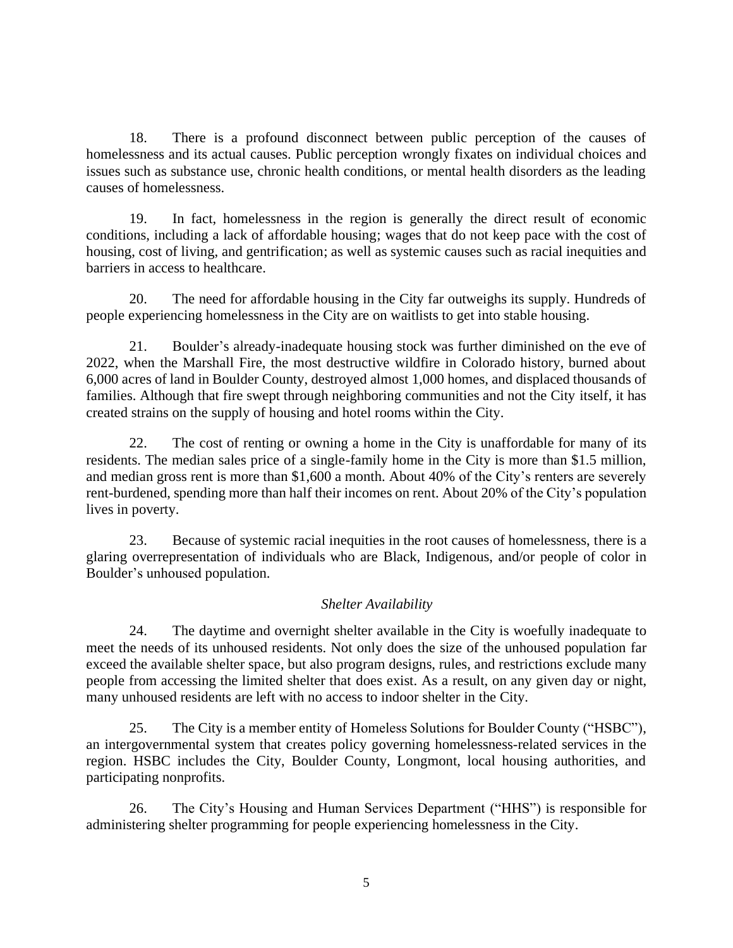18. There is a profound disconnect between public perception of the causes of homelessness and its actual causes. Public perception wrongly fixates on individual choices and issues such as substance use, chronic health conditions, or mental health disorders as the leading causes of homelessness.

19. In fact, homelessness in the region is generally the direct result of economic conditions, including a lack of affordable housing; wages that do not keep pace with the cost of housing, cost of living, and gentrification; as well as systemic causes such as racial inequities and barriers in access to healthcare.

20. The need for affordable housing in the City far outweighs its supply. Hundreds of people experiencing homelessness in the City are on waitlists to get into stable housing.

21. Boulder's already-inadequate housing stock was further diminished on the eve of 2022, when the Marshall Fire, the most destructive wildfire in Colorado history, burned about 6,000 acres of land in Boulder County, destroyed almost 1,000 homes, and displaced thousands of families. Although that fire swept through neighboring communities and not the City itself, it has created strains on the supply of housing and hotel rooms within the City.

22. The cost of renting or owning a home in the City is unaffordable for many of its residents. The median sales price of a single-family home in the City is more than \$1.5 million, and median gross rent is more than \$1,600 a month. About 40% of the City's renters are severely rent-burdened, spending more than half their incomes on rent. About 20% of the City's population lives in poverty.

23. Because of systemic racial inequities in the root causes of homelessness, there is a glaring overrepresentation of individuals who are Black, Indigenous, and/or people of color in Boulder's unhoused population.

# *Shelter Availability*

24. The daytime and overnight shelter available in the City is woefully inadequate to meet the needs of its unhoused residents. Not only does the size of the unhoused population far exceed the available shelter space, but also program designs, rules, and restrictions exclude many people from accessing the limited shelter that does exist. As a result, on any given day or night, many unhoused residents are left with no access to indoor shelter in the City.

25. The City is a member entity of Homeless Solutions for Boulder County ("HSBC"), an intergovernmental system that creates policy governing homelessness-related services in the region. HSBC includes the City, Boulder County, Longmont, local housing authorities, and participating nonprofits.

26. The City's Housing and Human Services Department ("HHS") is responsible for administering shelter programming for people experiencing homelessness in the City.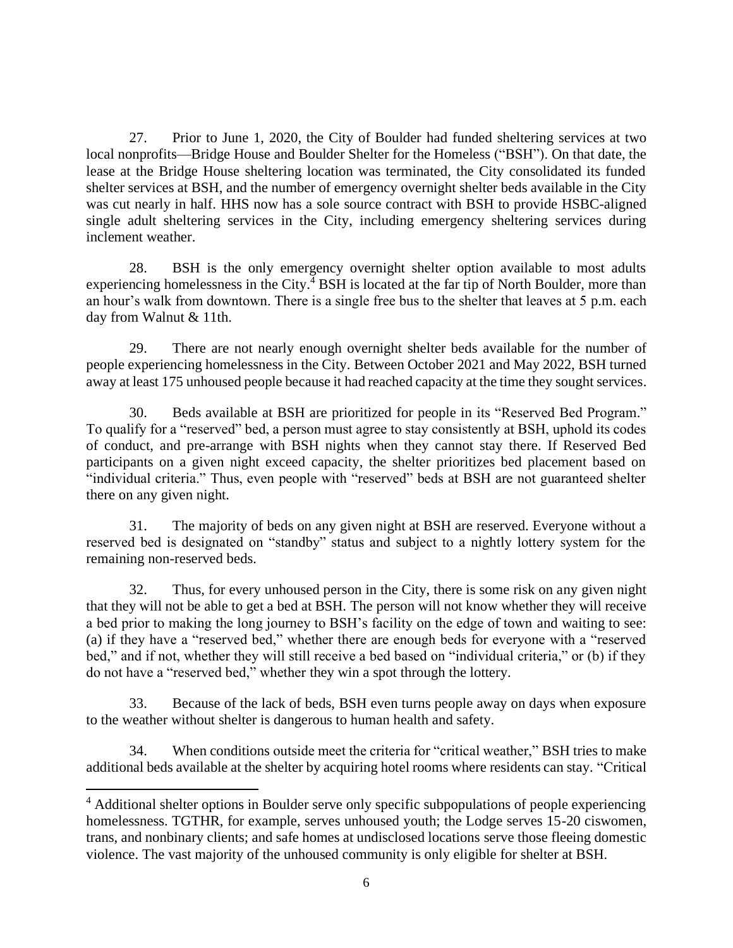27. Prior to June 1, 2020, the City of Boulder had funded sheltering services at two local nonprofits—Bridge House and Boulder Shelter for the Homeless ("BSH"). On that date, the lease at the Bridge House sheltering location was terminated, the City consolidated its funded shelter services at BSH, and the number of emergency overnight shelter beds available in the City was cut nearly in half. HHS now has a sole source contract with BSH to provide HSBC-aligned single adult sheltering services in the City, including emergency sheltering services during inclement weather.

28. BSH is the only emergency overnight shelter option available to most adults experiencing homelessness in the City. $^{4}$  BSH is located at the far tip of North Boulder, more than an hour's walk from downtown. There is a single free bus to the shelter that leaves at 5 p.m. each day from Walnut & 11th.

29. There are not nearly enough overnight shelter beds available for the number of people experiencing homelessness in the City. Between October 2021 and May 2022, BSH turned away at least 175 unhoused people because it had reached capacity at the time they sought services.

30. Beds available at BSH are prioritized for people in its "Reserved Bed Program." To qualify for a "reserved" bed, a person must agree to stay consistently at BSH, uphold its codes of conduct, and pre-arrange with BSH nights when they cannot stay there. If Reserved Bed participants on a given night exceed capacity, the shelter prioritizes bed placement based on "individual criteria." Thus, even people with "reserved" beds at BSH are not guaranteed shelter there on any given night.

31. The majority of beds on any given night at BSH are reserved. Everyone without a reserved bed is designated on "standby" status and subject to a nightly lottery system for the remaining non-reserved beds.

32. Thus, for every unhoused person in the City, there is some risk on any given night that they will not be able to get a bed at BSH. The person will not know whether they will receive a bed prior to making the long journey to BSH's facility on the edge of town and waiting to see: (a) if they have a "reserved bed," whether there are enough beds for everyone with a "reserved bed," and if not, whether they will still receive a bed based on "individual criteria," or (b) if they do not have a "reserved bed," whether they win a spot through the lottery.

33. Because of the lack of beds, BSH even turns people away on days when exposure to the weather without shelter is dangerous to human health and safety.

34. When conditions outside meet the criteria for "critical weather," BSH tries to make additional beds available at the shelter by acquiring hotel rooms where residents can stay. "Critical

<sup>4</sup> Additional shelter options in Boulder serve only specific subpopulations of people experiencing homelessness. TGTHR, for example, serves unhoused youth; the Lodge serves 15-20 ciswomen, trans, and nonbinary clients; and safe homes at undisclosed locations serve those fleeing domestic violence. The vast majority of the unhoused community is only eligible for shelter at BSH.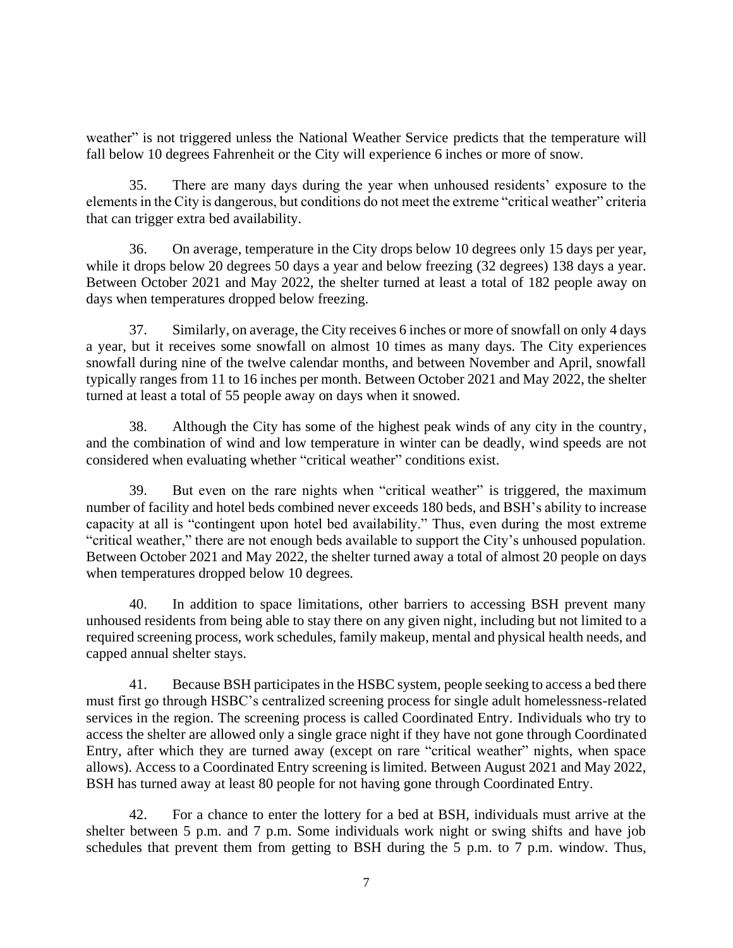weather" is not triggered unless the National Weather Service predicts that the temperature will fall below 10 degrees Fahrenheit or the City will experience 6 inches or more of snow.

35. There are many days during the year when unhoused residents' exposure to the elements in the City is dangerous, but conditions do not meet the extreme "critical weather" criteria that can trigger extra bed availability.

36. On average, temperature in the City drops below 10 degrees only 15 days per year, while it drops below 20 degrees 50 days a year and below freezing (32 degrees) 138 days a year. Between October 2021 and May 2022, the shelter turned at least a total of 182 people away on days when temperatures dropped below freezing.

37. Similarly, on average, the City receives 6 inches or more of snowfall on only 4 days a year, but it receives some snowfall on almost 10 times as many days. The City experiences snowfall during nine of the twelve calendar months, and between November and April, snowfall typically ranges from 11 to 16 inches per month. Between October 2021 and May 2022, the shelter turned at least a total of 55 people away on days when it snowed.

38. Although the City has some of the highest peak winds of any city in the country, and the combination of wind and low temperature in winter can be deadly, wind speeds are not considered when evaluating whether "critical weather" conditions exist.

39. But even on the rare nights when "critical weather" is triggered, the maximum number of facility and hotel beds combined never exceeds 180 beds, and BSH's ability to increase capacity at all is "contingent upon hotel bed availability." Thus, even during the most extreme "critical weather," there are not enough beds available to support the City's unhoused population. Between October 2021 and May 2022, the shelter turned away a total of almost 20 people on days when temperatures dropped below 10 degrees.

40. In addition to space limitations, other barriers to accessing BSH prevent many unhoused residents from being able to stay there on any given night, including but not limited to a required screening process, work schedules, family makeup, mental and physical health needs, and capped annual shelter stays.

41. Because BSH participates in the HSBC system, people seeking to access a bed there must first go through HSBC's centralized screening process for single adult homelessness-related services in the region. The screening process is called Coordinated Entry. Individuals who try to access the shelter are allowed only a single grace night if they have not gone through Coordinated Entry, after which they are turned away (except on rare "critical weather" nights, when space allows). Access to a Coordinated Entry screening is limited. Between August 2021 and May 2022, BSH has turned away at least 80 people for not having gone through Coordinated Entry.

42. For a chance to enter the lottery for a bed at BSH, individuals must arrive at the shelter between 5 p.m. and 7 p.m. Some individuals work night or swing shifts and have job schedules that prevent them from getting to BSH during the 5 p.m. to 7 p.m. window. Thus,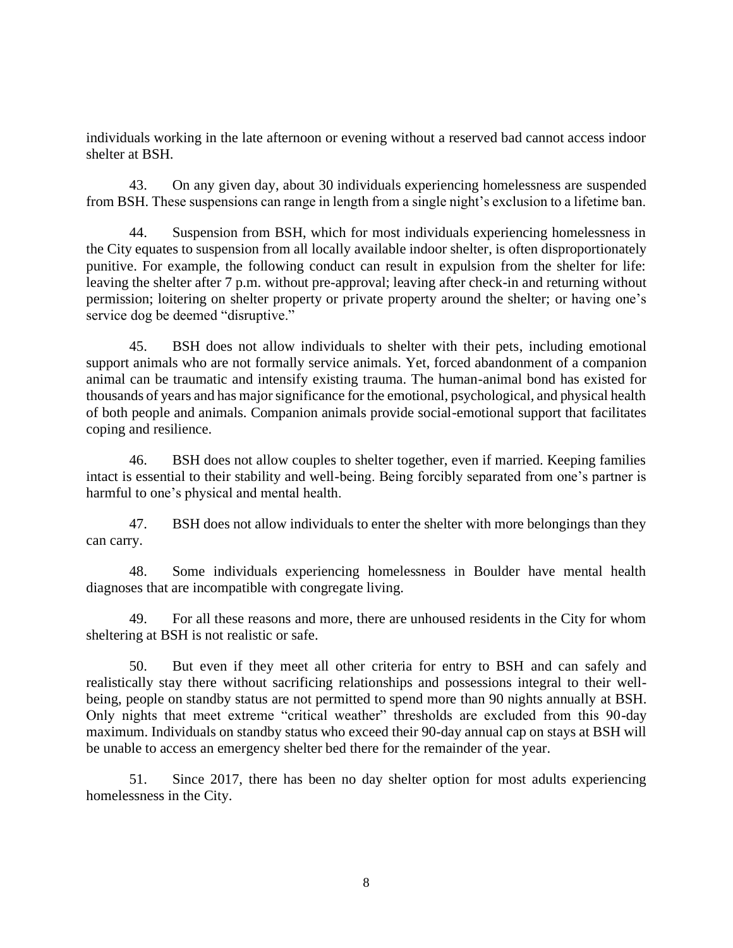individuals working in the late afternoon or evening without a reserved bad cannot access indoor shelter at BSH.

43. On any given day, about 30 individuals experiencing homelessness are suspended from BSH. These suspensions can range in length from a single night's exclusion to a lifetime ban.

44. Suspension from BSH, which for most individuals experiencing homelessness in the City equates to suspension from all locally available indoor shelter, is often disproportionately punitive. For example, the following conduct can result in expulsion from the shelter for life: leaving the shelter after 7 p.m. without pre-approval; leaving after check-in and returning without permission; loitering on shelter property or private property around the shelter; or having one's service dog be deemed "disruptive."

45. BSH does not allow individuals to shelter with their pets, including emotional support animals who are not formally service animals. Yet, forced abandonment of a companion animal can be traumatic and intensify existing trauma. The human-animal bond has existed for thousands of years and has major significance for the emotional, psychological, and physical health of both people and animals. Companion animals provide social-emotional support that facilitates coping and resilience.

46. BSH does not allow couples to shelter together, even if married. Keeping families intact is essential to their stability and well-being. Being forcibly separated from one's partner is harmful to one's physical and mental health.

47. BSH does not allow individuals to enter the shelter with more belongings than they can carry.

48. Some individuals experiencing homelessness in Boulder have mental health diagnoses that are incompatible with congregate living.

49. For all these reasons and more, there are unhoused residents in the City for whom sheltering at BSH is not realistic or safe.

50. But even if they meet all other criteria for entry to BSH and can safely and realistically stay there without sacrificing relationships and possessions integral to their wellbeing, people on standby status are not permitted to spend more than 90 nights annually at BSH. Only nights that meet extreme "critical weather" thresholds are excluded from this 90-day maximum. Individuals on standby status who exceed their 90-day annual cap on stays at BSH will be unable to access an emergency shelter bed there for the remainder of the year.

51. Since 2017, there has been no day shelter option for most adults experiencing homelessness in the City.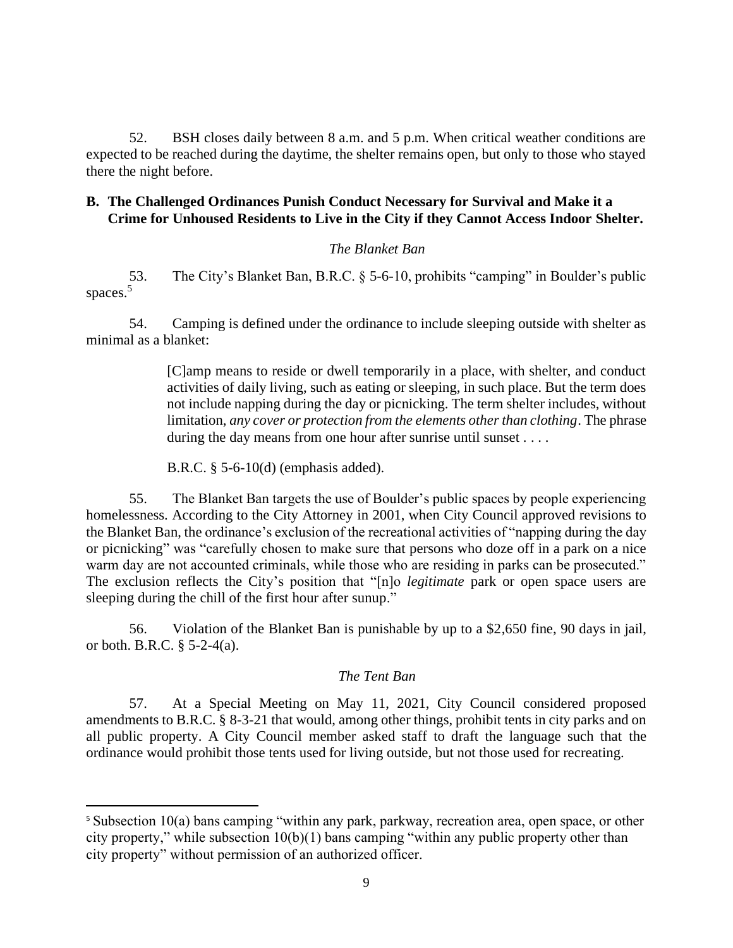52. BSH closes daily between 8 a.m. and 5 p.m. When critical weather conditions are expected to be reached during the daytime, the shelter remains open, but only to those who stayed there the night before.

## **B. The Challenged Ordinances Punish Conduct Necessary for Survival and Make it a Crime for Unhoused Residents to Live in the City if they Cannot Access Indoor Shelter.**

## *The Blanket Ban*

53. The City's Blanket Ban, B.R.C. § 5-6-10, prohibits "camping" in Boulder's public spaces.<sup>5</sup>

54. Camping is defined under the ordinance to include sleeping outside with shelter as minimal as a blanket:

> [C]amp means to reside or dwell temporarily in a place, with shelter, and conduct activities of daily living, such as eating or sleeping, in such place. But the term does not include napping during the day or picnicking. The term shelter includes, without limitation, *any cover or protection from the elements other than clothing*. The phrase during the day means from one hour after sunrise until sunset . . . .

B.R.C. § 5-6-10(d) (emphasis added).

55. The Blanket Ban targets the use of Boulder's public spaces by people experiencing homelessness. According to the City Attorney in 2001, when City Council approved revisions to the Blanket Ban, the ordinance's exclusion of the recreational activities of "napping during the day or picnicking" was "carefully chosen to make sure that persons who doze off in a park on a nice warm day are not accounted criminals, while those who are residing in parks can be prosecuted." The exclusion reflects the City's position that "[n]o *legitimate* park or open space users are sleeping during the chill of the first hour after sunup."

56. Violation of the Blanket Ban is punishable by up to a \$2,650 fine, 90 days in jail, or both. B.R.C. § 5-2-4(a).

## *The Tent Ban*

57. At a Special Meeting on May 11, 2021, City Council considered proposed amendments to B.R.C. § 8-3-21 that would, among other things, prohibit tents in city parks and on all public property. A City Council member asked staff to draft the language such that the ordinance would prohibit those tents used for living outside, but not those used for recreating.

<sup>&</sup>lt;sup>5</sup> Subsection 10(a) bans camping "within any park, parkway, recreation area, open space, or other city property," while subsection  $10(b)(1)$  bans camping "within any public property other than city property" without permission of an authorized officer.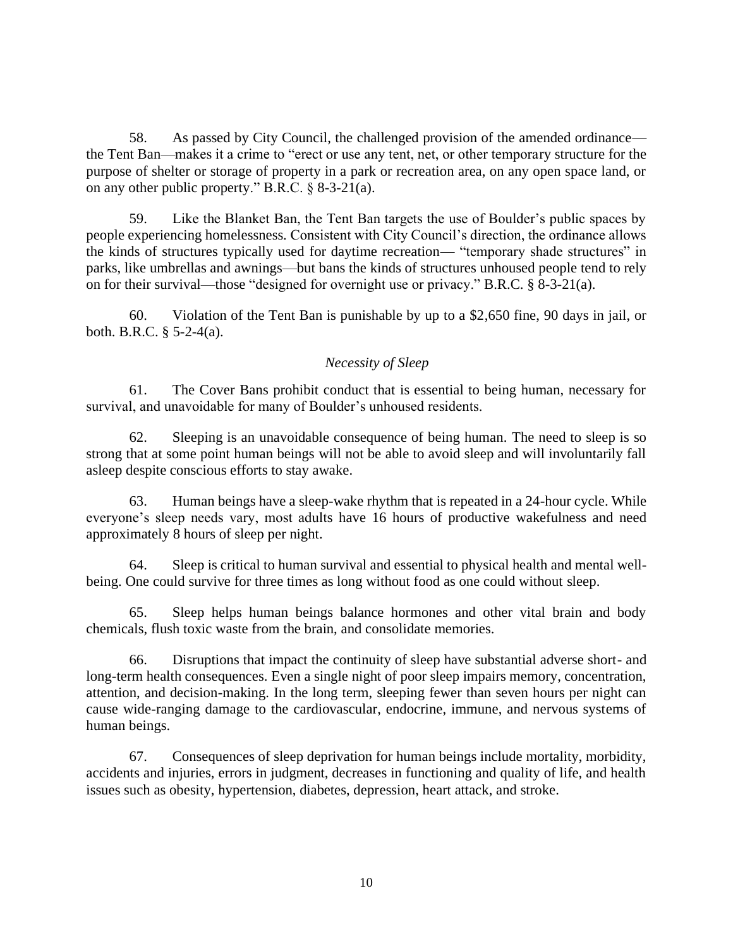58. As passed by City Council, the challenged provision of the amended ordinance the Tent Ban—makes it a crime to "erect or use any tent, net, or other temporary structure for the purpose of shelter or storage of property in a park or recreation area, on any open space land, or on any other public property." B.R.C. § 8-3-21(a).

59. Like the Blanket Ban, the Tent Ban targets the use of Boulder's public spaces by people experiencing homelessness. Consistent with City Council's direction, the ordinance allows the kinds of structures typically used for daytime recreation— "temporary shade structures" in parks, like umbrellas and awnings—but bans the kinds of structures unhoused people tend to rely on for their survival—those "designed for overnight use or privacy." B.R.C. § 8-3-21(a).

60. Violation of the Tent Ban is punishable by up to a \$2,650 fine, 90 days in jail, or both. B.R.C. § 5-2-4(a).

## *Necessity of Sleep*

61. The Cover Bans prohibit conduct that is essential to being human, necessary for survival, and unavoidable for many of Boulder's unhoused residents.

62. Sleeping is an unavoidable consequence of being human. The need to sleep is so strong that at some point human beings will not be able to avoid sleep and will involuntarily fall asleep despite conscious efforts to stay awake.

63. Human beings have a sleep-wake rhythm that is repeated in a 24-hour cycle. While everyone's sleep needs vary, most adults have 16 hours of productive wakefulness and need approximately 8 hours of sleep per night.

64. Sleep is critical to human survival and essential to physical health and mental wellbeing. One could survive for three times as long without food as one could without sleep.

65. Sleep helps human beings balance hormones and other vital brain and body chemicals, flush toxic waste from the brain, and consolidate memories.

66. Disruptions that impact the continuity of sleep have substantial adverse short- and long-term health consequences. Even a single night of poor sleep impairs memory, concentration, attention, and decision-making. In the long term, sleeping fewer than seven hours per night can cause wide-ranging damage to the cardiovascular, endocrine, immune, and nervous systems of human beings.

67. Consequences of sleep deprivation for human beings include mortality, morbidity, accidents and injuries, errors in judgment, decreases in functioning and quality of life, and health issues such as obesity, hypertension, diabetes, depression, heart attack, and stroke.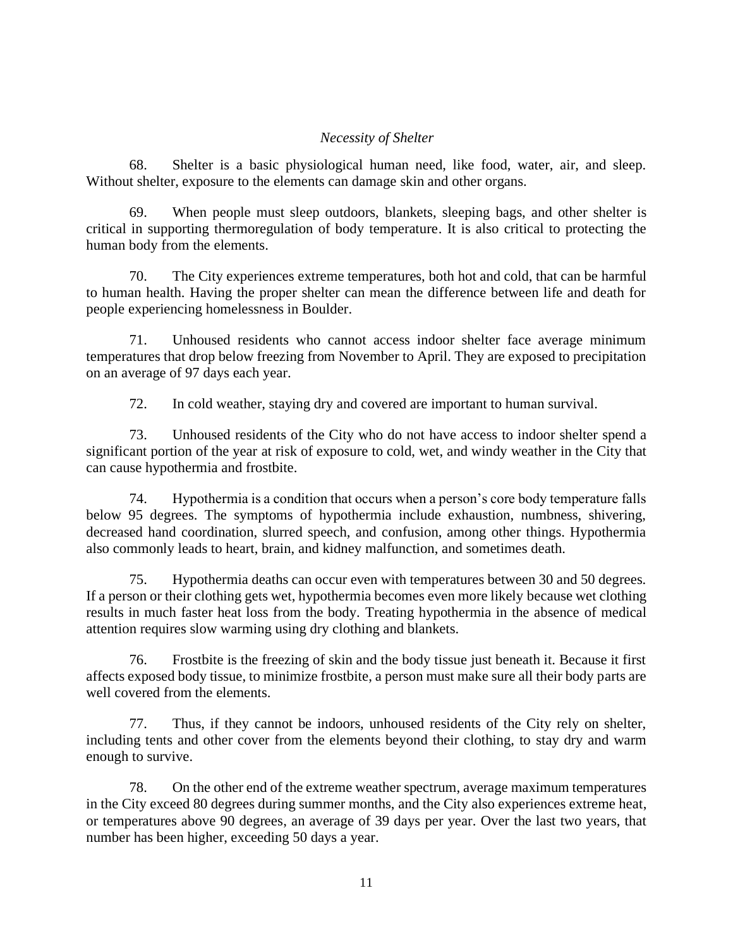## *Necessity of Shelter*

68. Shelter is a basic physiological human need, like food, water, air, and sleep. Without shelter, exposure to the elements can damage skin and other organs.

69. When people must sleep outdoors, blankets, sleeping bags, and other shelter is critical in supporting thermoregulation of body temperature. It is also critical to protecting the human body from the elements.

70. The City experiences extreme temperatures, both hot and cold, that can be harmful to human health. Having the proper shelter can mean the difference between life and death for people experiencing homelessness in Boulder.

71. Unhoused residents who cannot access indoor shelter face average minimum temperatures that drop below freezing from November to April. They are exposed to precipitation on an average of 97 days each year.

72. In cold weather, staying dry and covered are important to human survival.

73. Unhoused residents of the City who do not have access to indoor shelter spend a significant portion of the year at risk of exposure to cold, wet, and windy weather in the City that can cause hypothermia and frostbite.

74. Hypothermia is a condition that occurs when a person's core body temperature falls below 95 degrees. The symptoms of hypothermia include exhaustion, numbness, shivering, decreased hand coordination, slurred speech, and confusion, among other things. Hypothermia also commonly leads to heart, brain, and kidney malfunction, and sometimes death.

75. Hypothermia deaths can occur even with temperatures between 30 and 50 degrees. If a person or their clothing gets wet, hypothermia becomes even more likely because wet clothing results in much faster heat loss from the body. Treating hypothermia in the absence of medical attention requires slow warming using dry clothing and blankets.

76. Frostbite is the freezing of skin and the body tissue just beneath it. Because it first affects exposed body tissue, to minimize frostbite, a person must make sure all their body parts are well covered from the elements.

77. Thus, if they cannot be indoors, unhoused residents of the City rely on shelter, including tents and other cover from the elements beyond their clothing, to stay dry and warm enough to survive.

78. On the other end of the extreme weather spectrum, average maximum temperatures in the City exceed 80 degrees during summer months, and the City also experiences extreme heat, or temperatures above 90 degrees, an average of 39 days per year. Over the last two years, that number has been higher, exceeding 50 days a year.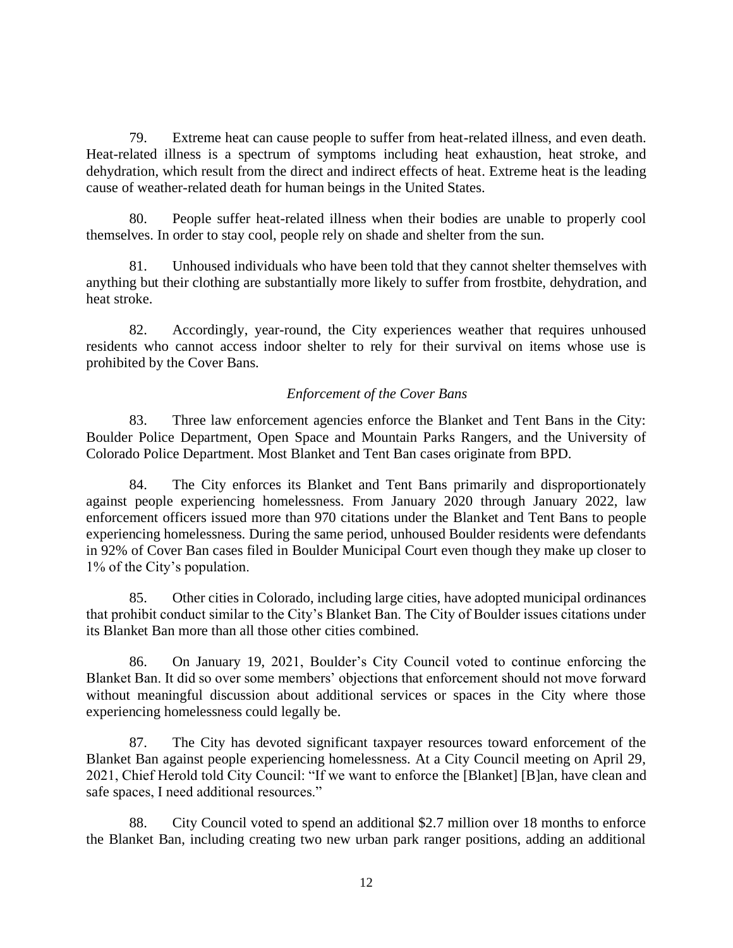79. Extreme heat can cause people to suffer from heat-related illness, and even death. Heat-related illness is a spectrum of symptoms including heat exhaustion, heat stroke, and dehydration, which result from the direct and indirect effects of heat. Extreme heat is the leading cause of weather-related death for human beings in the United States.

80. People suffer heat-related illness when their bodies are unable to properly cool themselves. In order to stay cool, people rely on shade and shelter from the sun.

81. Unhoused individuals who have been told that they cannot shelter themselves with anything but their clothing are substantially more likely to suffer from frostbite, dehydration, and heat stroke.

82. Accordingly, year-round, the City experiences weather that requires unhoused residents who cannot access indoor shelter to rely for their survival on items whose use is prohibited by the Cover Bans.

## *Enforcement of the Cover Bans*

83. Three law enforcement agencies enforce the Blanket and Tent Bans in the City: Boulder Police Department, Open Space and Mountain Parks Rangers, and the University of Colorado Police Department. Most Blanket and Tent Ban cases originate from BPD.

84. The City enforces its Blanket and Tent Bans primarily and disproportionately against people experiencing homelessness. From January 2020 through January 2022, law enforcement officers issued more than 970 citations under the Blanket and Tent Bans to people experiencing homelessness. During the same period, unhoused Boulder residents were defendants in 92% of Cover Ban cases filed in Boulder Municipal Court even though they make up closer to 1% of the City's population.

85. Other cities in Colorado, including large cities, have adopted municipal ordinances that prohibit conduct similar to the City's Blanket Ban. The City of Boulder issues citations under its Blanket Ban more than all those other cities combined.

86. On January 19, 2021, Boulder's City Council voted to continue enforcing the Blanket Ban. It did so over some members' objections that enforcement should not move forward without meaningful discussion about additional services or spaces in the City where those experiencing homelessness could legally be.

87. The City has devoted significant taxpayer resources toward enforcement of the Blanket Ban against people experiencing homelessness. At a City Council meeting on April 29, 2021, Chief Herold told City Council: "If we want to enforce the [Blanket] [B]an, have clean and safe spaces, I need additional resources."

88. City Council voted to spend an additional \$2.7 million over 18 months to enforce the Blanket Ban, including creating two new urban park ranger positions, adding an additional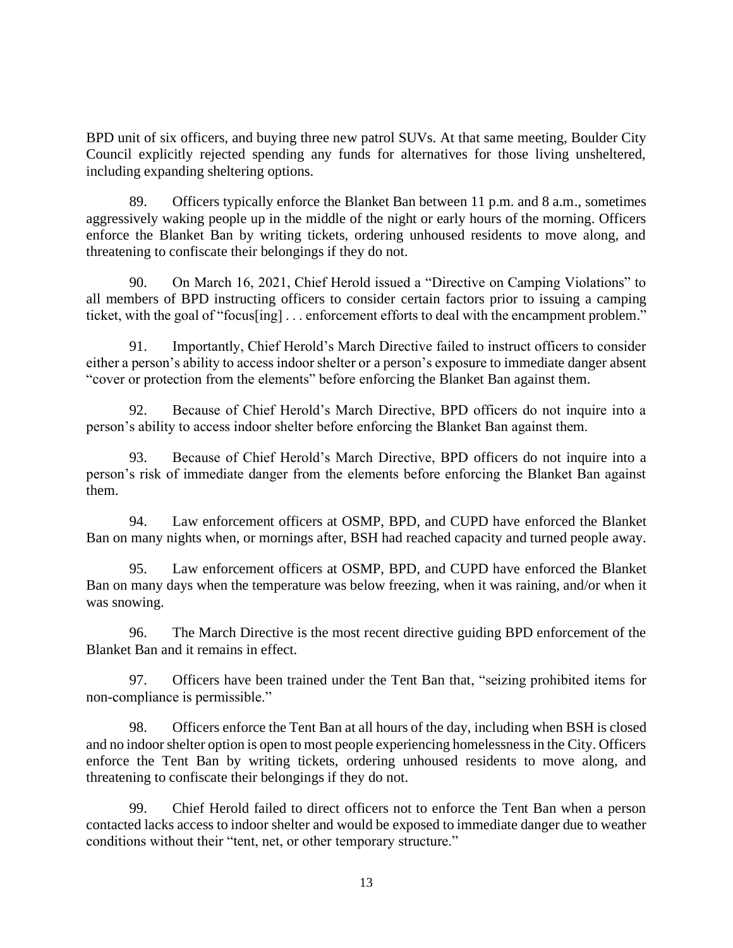BPD unit of six officers, and buying three new patrol SUVs. At that same meeting, Boulder City Council explicitly rejected spending any funds for alternatives for those living unsheltered, including expanding sheltering options.

89. Officers typically enforce the Blanket Ban between 11 p.m. and 8 a.m., sometimes aggressively waking people up in the middle of the night or early hours of the morning. Officers enforce the Blanket Ban by writing tickets, ordering unhoused residents to move along, and threatening to confiscate their belongings if they do not.

90. On March 16, 2021, Chief Herold issued a "Directive on Camping Violations" to all members of BPD instructing officers to consider certain factors prior to issuing a camping ticket, with the goal of "focus[ing] . . . enforcement efforts to deal with the encampment problem."

91. Importantly, Chief Herold's March Directive failed to instruct officers to consider either a person's ability to access indoor shelter or a person's exposure to immediate danger absent "cover or protection from the elements" before enforcing the Blanket Ban against them.

92. Because of Chief Herold's March Directive, BPD officers do not inquire into a person's ability to access indoor shelter before enforcing the Blanket Ban against them.

93. Because of Chief Herold's March Directive, BPD officers do not inquire into a person's risk of immediate danger from the elements before enforcing the Blanket Ban against them.

94. Law enforcement officers at OSMP, BPD, and CUPD have enforced the Blanket Ban on many nights when, or mornings after, BSH had reached capacity and turned people away.

95. Law enforcement officers at OSMP, BPD, and CUPD have enforced the Blanket Ban on many days when the temperature was below freezing, when it was raining, and/or when it was snowing.

96. The March Directive is the most recent directive guiding BPD enforcement of the Blanket Ban and it remains in effect.

97. Officers have been trained under the Tent Ban that, "seizing prohibited items for non-compliance is permissible."

98. Officers enforce the Tent Ban at all hours of the day, including when BSH is closed and no indoor shelter option is open to most people experiencing homelessness in the City. Officers enforce the Tent Ban by writing tickets, ordering unhoused residents to move along, and threatening to confiscate their belongings if they do not.

99. Chief Herold failed to direct officers not to enforce the Tent Ban when a person contacted lacks access to indoor shelter and would be exposed to immediate danger due to weather conditions without their "tent, net, or other temporary structure."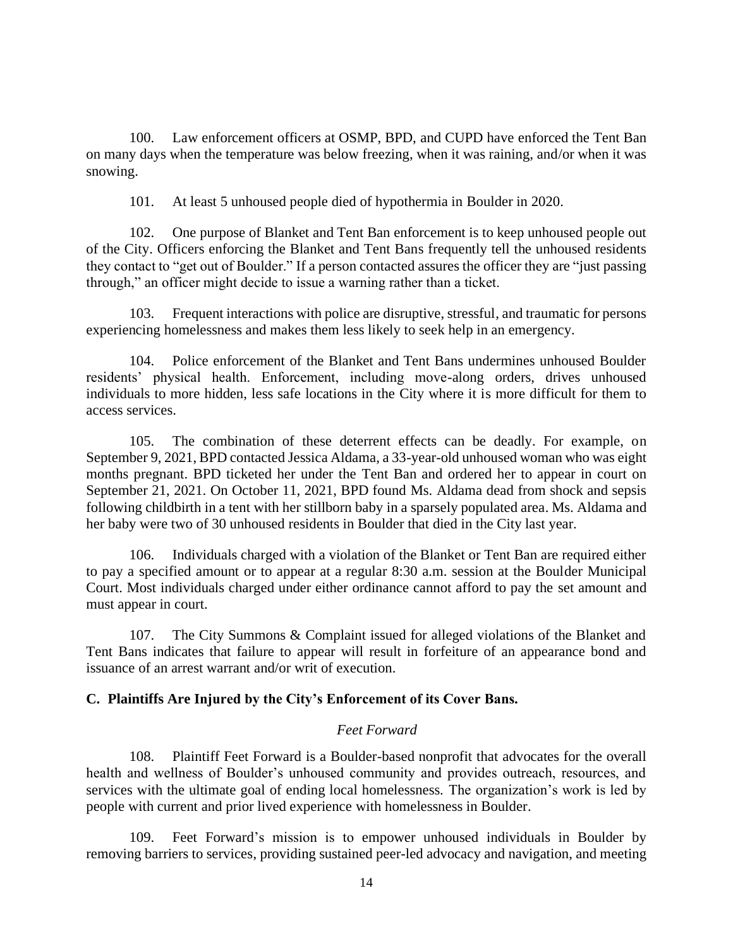100. Law enforcement officers at OSMP, BPD, and CUPD have enforced the Tent Ban on many days when the temperature was below freezing, when it was raining, and/or when it was snowing.

101. At least 5 unhoused people died of hypothermia in Boulder in 2020.

102. One purpose of Blanket and Tent Ban enforcement is to keep unhoused people out of the City. Officers enforcing the Blanket and Tent Bans frequently tell the unhoused residents they contact to "get out of Boulder." If a person contacted assures the officer they are "just passing through," an officer might decide to issue a warning rather than a ticket.

103. Frequent interactions with police are disruptive, stressful, and traumatic for persons experiencing homelessness and makes them less likely to seek help in an emergency.

104. Police enforcement of the Blanket and Tent Bans undermines unhoused Boulder residents' physical health. Enforcement, including move-along orders, drives unhoused individuals to more hidden, less safe locations in the City where it is more difficult for them to access services.

105. The combination of these deterrent effects can be deadly. For example, on September 9, 2021, BPD contacted Jessica Aldama, a 33-year-old unhoused woman who was eight months pregnant. BPD ticketed her under the Tent Ban and ordered her to appear in court on September 21, 2021. On October 11, 2021, BPD found Ms. Aldama dead from shock and sepsis following childbirth in a tent with her stillborn baby in a sparsely populated area. Ms. Aldama and her baby were two of 30 unhoused residents in Boulder that died in the City last year.

106. Individuals charged with a violation of the Blanket or Tent Ban are required either to pay a specified amount or to appear at a regular 8:30 a.m. session at the Boulder Municipal Court. Most individuals charged under either ordinance cannot afford to pay the set amount and must appear in court.

107. The City Summons & Complaint issued for alleged violations of the Blanket and Tent Bans indicates that failure to appear will result in forfeiture of an appearance bond and issuance of an arrest warrant and/or writ of execution.

## **C. Plaintiffs Are Injured by the City's Enforcement of its Cover Bans.**

#### *Feet Forward*

108. Plaintiff Feet Forward is a Boulder-based nonprofit that advocates for the overall health and wellness of Boulder's unhoused community and provides outreach, resources, and services with the ultimate goal of ending local homelessness. The organization's work is led by people with current and prior lived experience with homelessness in Boulder.

109. Feet Forward's mission is to empower unhoused individuals in Boulder by removing barriers to services, providing sustained peer-led advocacy and navigation, and meeting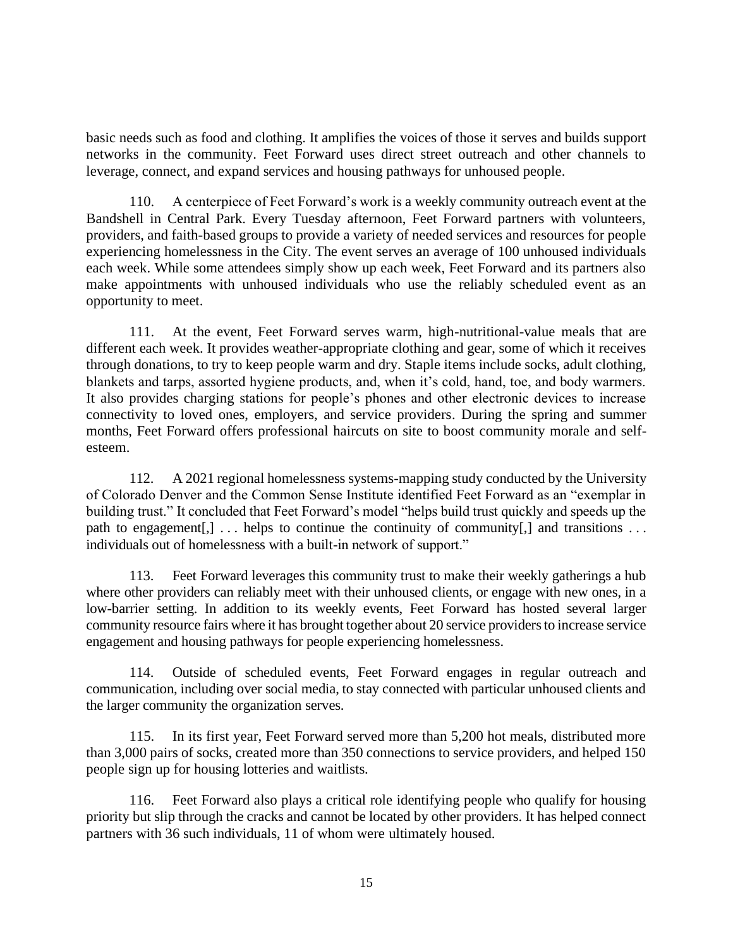basic needs such as food and clothing. It amplifies the voices of those it serves and builds support networks in the community. Feet Forward uses direct street outreach and other channels to leverage, connect, and expand services and housing pathways for unhoused people.

110. A centerpiece of Feet Forward's work is a weekly community outreach event at the Bandshell in Central Park. Every Tuesday afternoon, Feet Forward partners with volunteers, providers, and faith-based groups to provide a variety of needed services and resources for people experiencing homelessness in the City. The event serves an average of 100 unhoused individuals each week. While some attendees simply show up each week, Feet Forward and its partners also make appointments with unhoused individuals who use the reliably scheduled event as an opportunity to meet.

111. At the event, Feet Forward serves warm, high-nutritional-value meals that are different each week. It provides weather-appropriate clothing and gear, some of which it receives through donations, to try to keep people warm and dry. Staple items include socks, adult clothing, blankets and tarps, assorted hygiene products, and, when it's cold, hand, toe, and body warmers. It also provides charging stations for people's phones and other electronic devices to increase connectivity to loved ones, employers, and service providers. During the spring and summer months, Feet Forward offers professional haircuts on site to boost community morale and selfesteem.

112. A 2021 regional homelessness systems-mapping study conducted by the University of Colorado Denver and the Common Sense Institute identified Feet Forward as an "exemplar in building trust." It concluded that Feet Forward's model "helps build trust quickly and speeds up the path to engagement[,]  $\ldots$  helps to continue the continuity of community[,] and transitions  $\ldots$ individuals out of homelessness with a built-in network of support."

113. Feet Forward leverages this community trust to make their weekly gatherings a hub where other providers can reliably meet with their unhoused clients, or engage with new ones, in a low-barrier setting. In addition to its weekly events, Feet Forward has hosted several larger community resource fairs where it has brought together about 20 service providers to increase service engagement and housing pathways for people experiencing homelessness.

114. Outside of scheduled events, Feet Forward engages in regular outreach and communication, including over social media, to stay connected with particular unhoused clients and the larger community the organization serves.

115. In its first year, Feet Forward served more than 5,200 hot meals, distributed more than 3,000 pairs of socks, created more than 350 connections to service providers, and helped 150 people sign up for housing lotteries and waitlists.

116. Feet Forward also plays a critical role identifying people who qualify for housing priority but slip through the cracks and cannot be located by other providers. It has helped connect partners with 36 such individuals, 11 of whom were ultimately housed.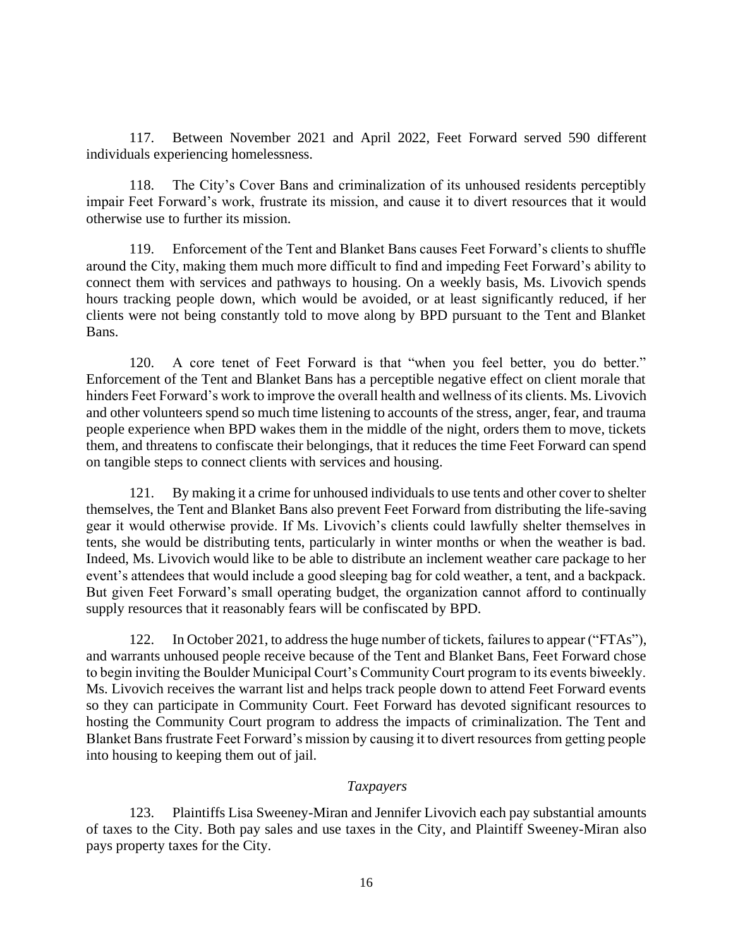117. Between November 2021 and April 2022, Feet Forward served 590 different individuals experiencing homelessness.

118. The City's Cover Bans and criminalization of its unhoused residents perceptibly impair Feet Forward's work, frustrate its mission, and cause it to divert resources that it would otherwise use to further its mission.

119. Enforcement of the Tent and Blanket Bans causes Feet Forward's clients to shuffle around the City, making them much more difficult to find and impeding Feet Forward's ability to connect them with services and pathways to housing. On a weekly basis, Ms. Livovich spends hours tracking people down, which would be avoided, or at least significantly reduced, if her clients were not being constantly told to move along by BPD pursuant to the Tent and Blanket Bans.

120. A core tenet of Feet Forward is that "when you feel better, you do better." Enforcement of the Tent and Blanket Bans has a perceptible negative effect on client morale that hinders Feet Forward's work to improve the overall health and wellness of its clients. Ms. Livovich and other volunteers spend so much time listening to accounts of the stress, anger, fear, and trauma people experience when BPD wakes them in the middle of the night, orders them to move, tickets them, and threatens to confiscate their belongings, that it reduces the time Feet Forward can spend on tangible steps to connect clients with services and housing.

121. By making it a crime for unhoused individuals to use tents and other cover to shelter themselves, the Tent and Blanket Bans also prevent Feet Forward from distributing the life-saving gear it would otherwise provide. If Ms. Livovich's clients could lawfully shelter themselves in tents, she would be distributing tents, particularly in winter months or when the weather is bad. Indeed, Ms. Livovich would like to be able to distribute an inclement weather care package to her event's attendees that would include a good sleeping bag for cold weather, a tent, and a backpack. But given Feet Forward's small operating budget, the organization cannot afford to continually supply resources that it reasonably fears will be confiscated by BPD.

122. In October 2021, to address the huge number of tickets, failures to appear ("FTAs"), and warrants unhoused people receive because of the Tent and Blanket Bans, Feet Forward chose to begin inviting the Boulder Municipal Court's Community Court program to its events biweekly. Ms. Livovich receives the warrant list and helps track people down to attend Feet Forward events so they can participate in Community Court. Feet Forward has devoted significant resources to hosting the Community Court program to address the impacts of criminalization. The Tent and Blanket Bans frustrate Feet Forward's mission by causing it to divert resources from getting people into housing to keeping them out of jail.

## *Taxpayers*

123. Plaintiffs Lisa Sweeney-Miran and Jennifer Livovich each pay substantial amounts of taxes to the City. Both pay sales and use taxes in the City, and Plaintiff Sweeney-Miran also pays property taxes for the City.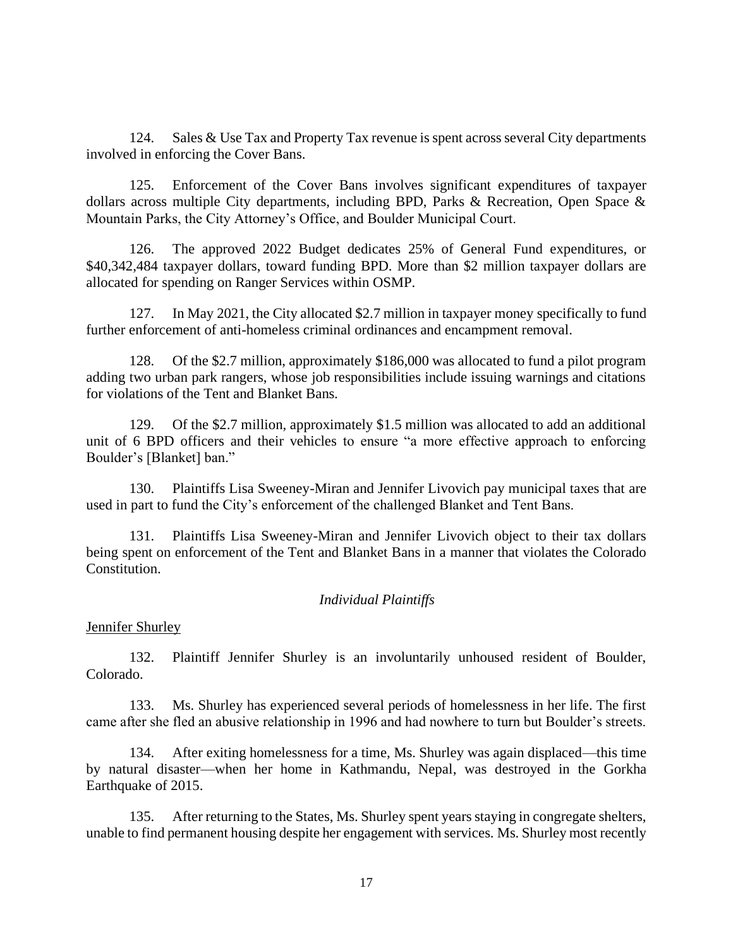124. Sales & Use Tax and Property Tax revenue is spent across several City departments involved in enforcing the Cover Bans.

125. Enforcement of the Cover Bans involves significant expenditures of taxpayer dollars across multiple City departments, including BPD, Parks & Recreation, Open Space & Mountain Parks, the City Attorney's Office, and Boulder Municipal Court.

126. The approved 2022 Budget dedicates 25% of General Fund expenditures, or \$40,342,484 taxpayer dollars, toward funding BPD. More than \$2 million taxpayer dollars are allocated for spending on Ranger Services within OSMP.

127. In May 2021, the City allocated \$2.7 million in taxpayer money specifically to fund further enforcement of anti-homeless criminal ordinances and encampment removal.

128. Of the \$2.7 million, approximately \$186,000 was allocated to fund a pilot program adding two urban park rangers, whose job responsibilities include issuing warnings and citations for violations of the Tent and Blanket Bans.

129. Of the \$2.7 million, approximately \$1.5 million was allocated to add an additional unit of 6 BPD officers and their vehicles to ensure "a more effective approach to enforcing Boulder's [Blanket] ban."

130. Plaintiffs Lisa Sweeney-Miran and Jennifer Livovich pay municipal taxes that are used in part to fund the City's enforcement of the challenged Blanket and Tent Bans.

131. Plaintiffs Lisa Sweeney-Miran and Jennifer Livovich object to their tax dollars being spent on enforcement of the Tent and Blanket Bans in a manner that violates the Colorado Constitution.

#### *Individual Plaintiffs*

Jennifer Shurley

132. Plaintiff Jennifer Shurley is an involuntarily unhoused resident of Boulder, Colorado.

133. Ms. Shurley has experienced several periods of homelessness in her life. The first came after she fled an abusive relationship in 1996 and had nowhere to turn but Boulder's streets.

134. After exiting homelessness for a time, Ms. Shurley was again displaced—this time by natural disaster—when her home in Kathmandu, Nepal, was destroyed in the Gorkha Earthquake of 2015.

135. After returning to the States, Ms. Shurley spent years staying in congregate shelters, unable to find permanent housing despite her engagement with services. Ms. Shurley most recently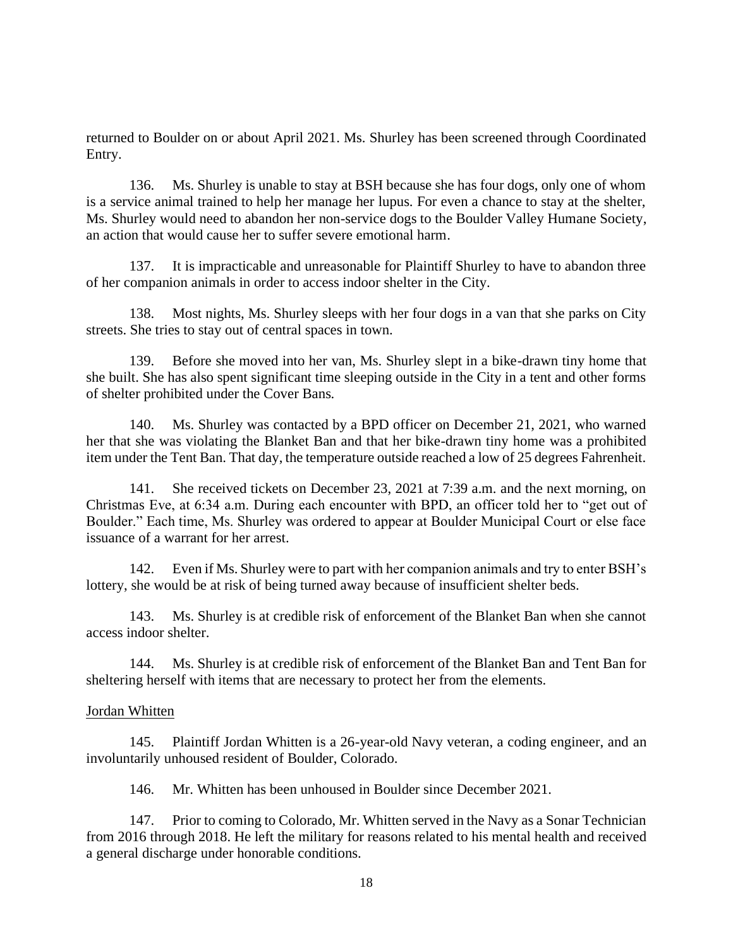returned to Boulder on or about April 2021. Ms. Shurley has been screened through Coordinated Entry.

136. Ms. Shurley is unable to stay at BSH because she has four dogs, only one of whom is a service animal trained to help her manage her lupus. For even a chance to stay at the shelter, Ms. Shurley would need to abandon her non-service dogs to the Boulder Valley Humane Society, an action that would cause her to suffer severe emotional harm.

137. It is impracticable and unreasonable for Plaintiff Shurley to have to abandon three of her companion animals in order to access indoor shelter in the City.

138. Most nights, Ms. Shurley sleeps with her four dogs in a van that she parks on City streets. She tries to stay out of central spaces in town.

139. Before she moved into her van, Ms. Shurley slept in a bike-drawn tiny home that she built. She has also spent significant time sleeping outside in the City in a tent and other forms of shelter prohibited under the Cover Bans.

140. Ms. Shurley was contacted by a BPD officer on December 21, 2021, who warned her that she was violating the Blanket Ban and that her bike-drawn tiny home was a prohibited item under the Tent Ban. That day, the temperature outside reached a low of 25 degrees Fahrenheit.

141. She received tickets on December 23, 2021 at 7:39 a.m. and the next morning, on Christmas Eve, at 6:34 a.m. During each encounter with BPD, an officer told her to "get out of Boulder." Each time, Ms. Shurley was ordered to appear at Boulder Municipal Court or else face issuance of a warrant for her arrest.

142. Even if Ms. Shurley were to part with her companion animals and try to enter BSH's lottery, she would be at risk of being turned away because of insufficient shelter beds.

143. Ms. Shurley is at credible risk of enforcement of the Blanket Ban when she cannot access indoor shelter.

144. Ms. Shurley is at credible risk of enforcement of the Blanket Ban and Tent Ban for sheltering herself with items that are necessary to protect her from the elements.

## Jordan Whitten

145. Plaintiff Jordan Whitten is a 26-year-old Navy veteran, a coding engineer, and an involuntarily unhoused resident of Boulder, Colorado.

146. Mr. Whitten has been unhoused in Boulder since December 2021.

147. Prior to coming to Colorado, Mr. Whitten served in the Navy as a Sonar Technician from 2016 through 2018. He left the military for reasons related to his mental health and received a general discharge under honorable conditions.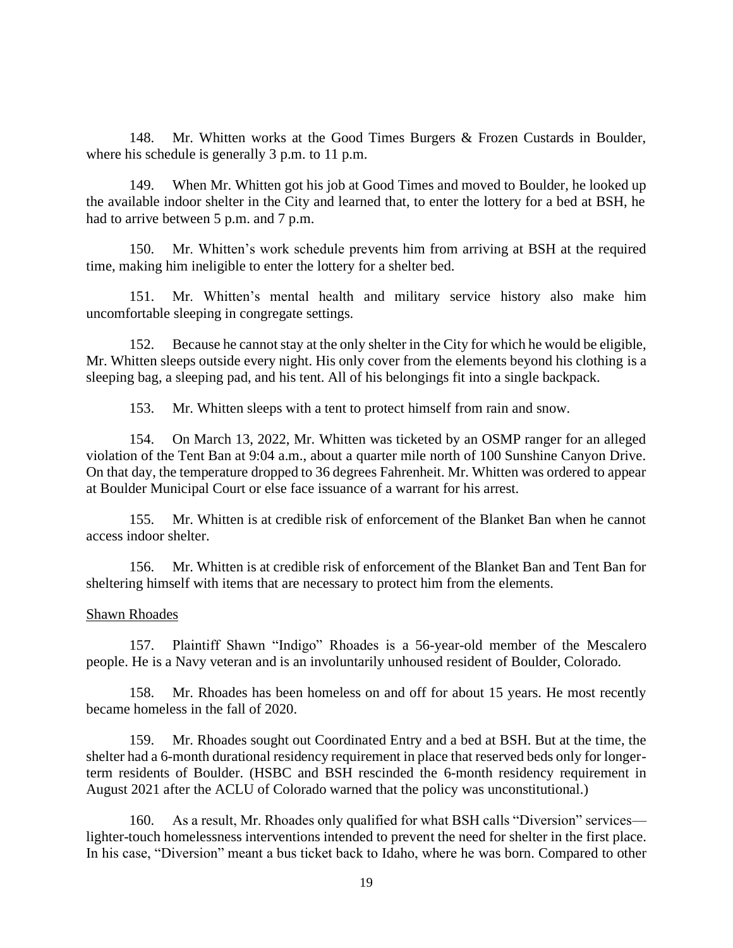148. Mr. Whitten works at the Good Times Burgers & Frozen Custards in Boulder, where his schedule is generally 3 p.m. to 11 p.m.

149. When Mr. Whitten got his job at Good Times and moved to Boulder, he looked up the available indoor shelter in the City and learned that, to enter the lottery for a bed at BSH, he had to arrive between 5 p.m. and 7 p.m.

150. Mr. Whitten's work schedule prevents him from arriving at BSH at the required time, making him ineligible to enter the lottery for a shelter bed.

151. Mr. Whitten's mental health and military service history also make him uncomfortable sleeping in congregate settings.

152. Because he cannot stay at the only shelter in the City for which he would be eligible, Mr. Whitten sleeps outside every night. His only cover from the elements beyond his clothing is a sleeping bag, a sleeping pad, and his tent. All of his belongings fit into a single backpack.

153. Mr. Whitten sleeps with a tent to protect himself from rain and snow.

154. On March 13, 2022, Mr. Whitten was ticketed by an OSMP ranger for an alleged violation of the Tent Ban at 9:04 a.m., about a quarter mile north of 100 Sunshine Canyon Drive. On that day, the temperature dropped to 36 degrees Fahrenheit. Mr. Whitten was ordered to appear at Boulder Municipal Court or else face issuance of a warrant for his arrest.

155. Mr. Whitten is at credible risk of enforcement of the Blanket Ban when he cannot access indoor shelter.

156. Mr. Whitten is at credible risk of enforcement of the Blanket Ban and Tent Ban for sheltering himself with items that are necessary to protect him from the elements.

#### Shawn Rhoades

157. Plaintiff Shawn "Indigo" Rhoades is a 56-year-old member of the Mescalero people. He is a Navy veteran and is an involuntarily unhoused resident of Boulder, Colorado.

158. Mr. Rhoades has been homeless on and off for about 15 years. He most recently became homeless in the fall of 2020.

159. Mr. Rhoades sought out Coordinated Entry and a bed at BSH. But at the time, the shelter had a 6-month durational residency requirement in place that reserved beds only for longerterm residents of Boulder. (HSBC and BSH rescinded the 6-month residency requirement in August 2021 after the ACLU of Colorado warned that the policy was unconstitutional.)

160. As a result, Mr. Rhoades only qualified for what BSH calls "Diversion" services lighter-touch homelessness interventions intended to prevent the need for shelter in the first place. In his case, "Diversion" meant a bus ticket back to Idaho, where he was born. Compared to other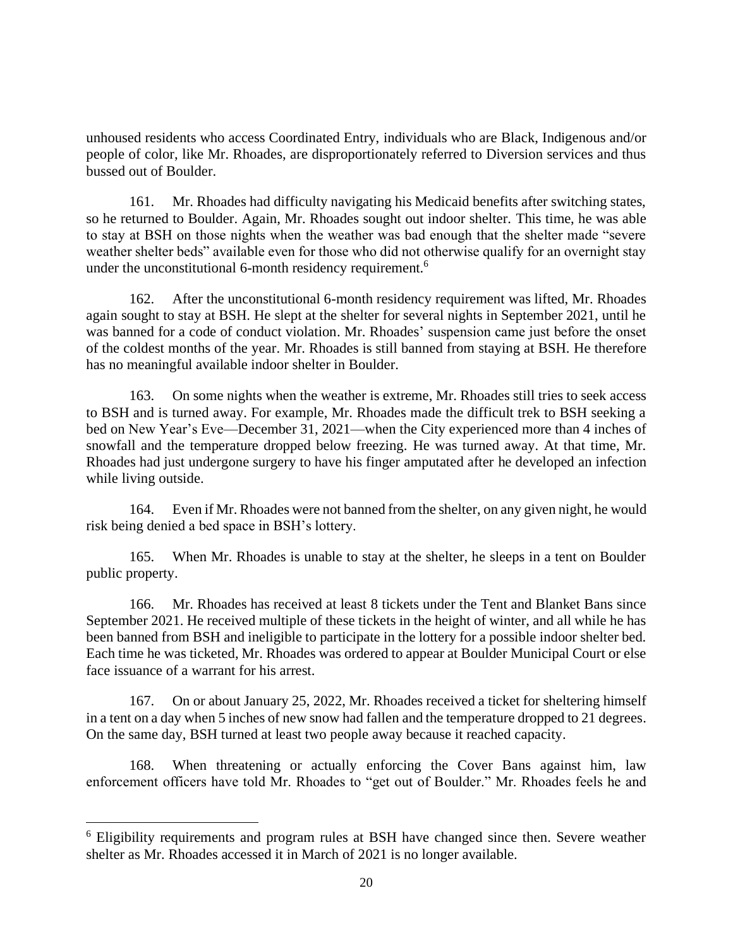unhoused residents who access Coordinated Entry, individuals who are Black, Indigenous and/or people of color, like Mr. Rhoades, are disproportionately referred to Diversion services and thus bussed out of Boulder.

161. Mr. Rhoades had difficulty navigating his Medicaid benefits after switching states, so he returned to Boulder. Again, Mr. Rhoades sought out indoor shelter. This time, he was able to stay at BSH on those nights when the weather was bad enough that the shelter made "severe weather shelter beds" available even for those who did not otherwise qualify for an overnight stay under the unconstitutional 6-month residency requirement.<sup>6</sup>

162. After the unconstitutional 6-month residency requirement was lifted, Mr. Rhoades again sought to stay at BSH. He slept at the shelter for several nights in September 2021, until he was banned for a code of conduct violation. Mr. Rhoades' suspension came just before the onset of the coldest months of the year. Mr. Rhoades is still banned from staying at BSH. He therefore has no meaningful available indoor shelter in Boulder.

163. On some nights when the weather is extreme, Mr. Rhoades still tries to seek access to BSH and is turned away. For example, Mr. Rhoades made the difficult trek to BSH seeking a bed on New Year's Eve—December 31, 2021—when the City experienced more than 4 inches of snowfall and the temperature dropped below freezing. He was turned away. At that time, Mr. Rhoades had just undergone surgery to have his finger amputated after he developed an infection while living outside.

164. Even if Mr. Rhoades were not banned from the shelter, on any given night, he would risk being denied a bed space in BSH's lottery.

165. When Mr. Rhoades is unable to stay at the shelter, he sleeps in a tent on Boulder public property.

166. Mr. Rhoades has received at least 8 tickets under the Tent and Blanket Bans since September 2021. He received multiple of these tickets in the height of winter, and all while he has been banned from BSH and ineligible to participate in the lottery for a possible indoor shelter bed. Each time he was ticketed, Mr. Rhoades was ordered to appear at Boulder Municipal Court or else face issuance of a warrant for his arrest.

167. On or about January 25, 2022, Mr. Rhoades received a ticket for sheltering himself in a tent on a day when 5 inches of new snow had fallen and the temperature dropped to 21 degrees. On the same day, BSH turned at least two people away because it reached capacity.

168. When threatening or actually enforcing the Cover Bans against him, law enforcement officers have told Mr. Rhoades to "get out of Boulder." Mr. Rhoades feels he and

<sup>6</sup> Eligibility requirements and program rules at BSH have changed since then. Severe weather shelter as Mr. Rhoades accessed it in March of 2021 is no longer available.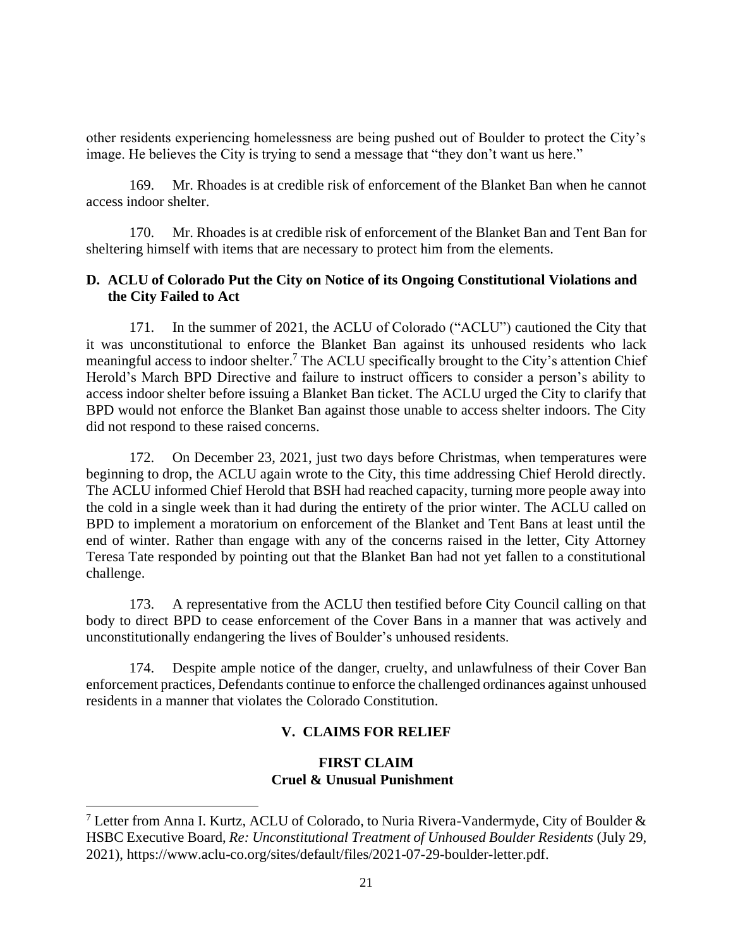other residents experiencing homelessness are being pushed out of Boulder to protect the City's image. He believes the City is trying to send a message that "they don't want us here."

169. Mr. Rhoades is at credible risk of enforcement of the Blanket Ban when he cannot access indoor shelter.

170. Mr. Rhoades is at credible risk of enforcement of the Blanket Ban and Tent Ban for sheltering himself with items that are necessary to protect him from the elements.

# **D. ACLU of Colorado Put the City on Notice of its Ongoing Constitutional Violations and the City Failed to Act**

171. In the summer of 2021, the ACLU of Colorado ("ACLU") cautioned the City that it was unconstitutional to enforce the Blanket Ban against its unhoused residents who lack meaningful access to indoor shelter.<sup>7</sup> The ACLU specifically brought to the City's attention Chief Herold's March BPD Directive and failure to instruct officers to consider a person's ability to access indoor shelter before issuing a Blanket Ban ticket. The ACLU urged the City to clarify that BPD would not enforce the Blanket Ban against those unable to access shelter indoors. The City did not respond to these raised concerns.

172. On December 23, 2021, just two days before Christmas, when temperatures were beginning to drop, the ACLU again wrote to the City, this time addressing Chief Herold directly. The ACLU informed Chief Herold that BSH had reached capacity, turning more people away into the cold in a single week than it had during the entirety of the prior winter. The ACLU called on BPD to implement a moratorium on enforcement of the Blanket and Tent Bans at least until the end of winter. Rather than engage with any of the concerns raised in the letter, City Attorney Teresa Tate responded by pointing out that the Blanket Ban had not yet fallen to a constitutional challenge.

173. A representative from the ACLU then testified before City Council calling on that body to direct BPD to cease enforcement of the Cover Bans in a manner that was actively and unconstitutionally endangering the lives of Boulder's unhoused residents.

174. Despite ample notice of the danger, cruelty, and unlawfulness of their Cover Ban enforcement practices, Defendants continue to enforce the challenged ordinances against unhoused residents in a manner that violates the Colorado Constitution.

# **V. CLAIMS FOR RELIEF**

# **FIRST CLAIM Cruel & Unusual Punishment**

<sup>&</sup>lt;sup>7</sup> Letter from Anna I. Kurtz, ACLU of Colorado, to Nuria Rivera-Vandermyde, City of Boulder  $\&$ HSBC Executive Board, *Re: Unconstitutional Treatment of Unhoused Boulder Residents* (July 29, 2021), https://www.aclu-co.org/sites/default/files/2021-07-29-boulder-letter.pdf.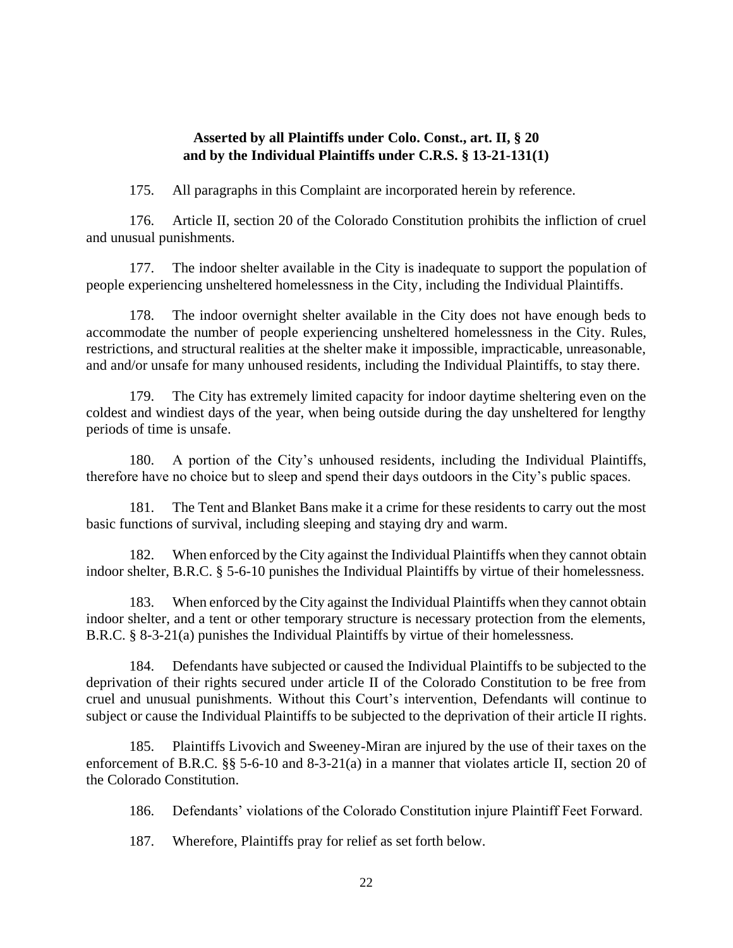## **Asserted by all Plaintiffs under Colo. Const., art. II, § 20 and by the Individual Plaintiffs under C.R.S. § 13-21-131(1)**

175. All paragraphs in this Complaint are incorporated herein by reference.

176. Article II, section 20 of the Colorado Constitution prohibits the infliction of cruel and unusual punishments.

177. The indoor shelter available in the City is inadequate to support the population of people experiencing unsheltered homelessness in the City, including the Individual Plaintiffs.

178. The indoor overnight shelter available in the City does not have enough beds to accommodate the number of people experiencing unsheltered homelessness in the City. Rules, restrictions, and structural realities at the shelter make it impossible, impracticable, unreasonable, and and/or unsafe for many unhoused residents, including the Individual Plaintiffs, to stay there.

179. The City has extremely limited capacity for indoor daytime sheltering even on the coldest and windiest days of the year, when being outside during the day unsheltered for lengthy periods of time is unsafe.

180. A portion of the City's unhoused residents, including the Individual Plaintiffs, therefore have no choice but to sleep and spend their days outdoors in the City's public spaces.

181. The Tent and Blanket Bans make it a crime for these residents to carry out the most basic functions of survival, including sleeping and staying dry and warm.

182. When enforced by the City against the Individual Plaintiffs when they cannot obtain indoor shelter, B.R.C. § 5-6-10 punishes the Individual Plaintiffs by virtue of their homelessness.

183. When enforced by the City against the Individual Plaintiffs when they cannot obtain indoor shelter, and a tent or other temporary structure is necessary protection from the elements, B.R.C. § 8-3-21(a) punishes the Individual Plaintiffs by virtue of their homelessness.

184. Defendants have subjected or caused the Individual Plaintiffs to be subjected to the deprivation of their rights secured under article II of the Colorado Constitution to be free from cruel and unusual punishments. Without this Court's intervention, Defendants will continue to subject or cause the Individual Plaintiffs to be subjected to the deprivation of their article II rights.

185. Plaintiffs Livovich and Sweeney-Miran are injured by the use of their taxes on the enforcement of B.R.C. §§ 5-6-10 and 8-3-21(a) in a manner that violates article II, section 20 of the Colorado Constitution.

186. Defendants' violations of the Colorado Constitution injure Plaintiff Feet Forward.

187. Wherefore, Plaintiffs pray for relief as set forth below.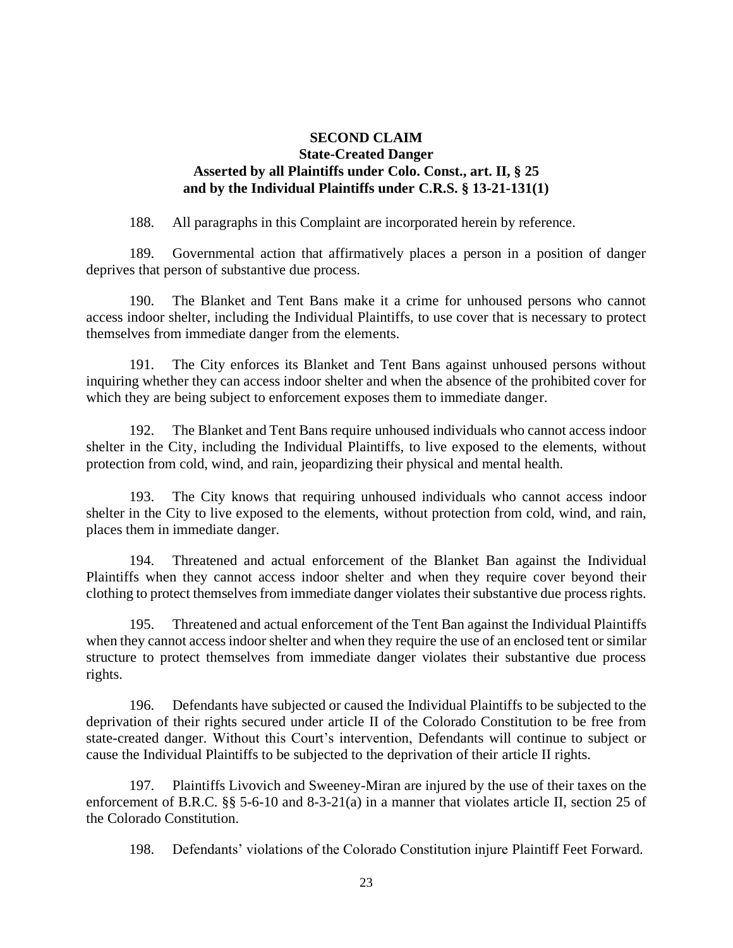## **SECOND CLAIM State-Created Danger Asserted by all Plaintiffs under Colo. Const., art. II, § 25 and by the Individual Plaintiffs under C.R.S. § 13-21-131(1)**

188. All paragraphs in this Complaint are incorporated herein by reference.

189. Governmental action that affirmatively places a person in a position of danger deprives that person of substantive due process.

190. The Blanket and Tent Bans make it a crime for unhoused persons who cannot access indoor shelter, including the Individual Plaintiffs, to use cover that is necessary to protect themselves from immediate danger from the elements.

191. The City enforces its Blanket and Tent Bans against unhoused persons without inquiring whether they can access indoor shelter and when the absence of the prohibited cover for which they are being subject to enforcement exposes them to immediate danger.

192. The Blanket and Tent Bans require unhoused individuals who cannot access indoor shelter in the City, including the Individual Plaintiffs, to live exposed to the elements, without protection from cold, wind, and rain, jeopardizing their physical and mental health.

193. The City knows that requiring unhoused individuals who cannot access indoor shelter in the City to live exposed to the elements, without protection from cold, wind, and rain, places them in immediate danger.

194. Threatened and actual enforcement of the Blanket Ban against the Individual Plaintiffs when they cannot access indoor shelter and when they require cover beyond their clothing to protect themselves from immediate danger violates their substantive due process rights.

195. Threatened and actual enforcement of the Tent Ban against the Individual Plaintiffs when they cannot access indoor shelter and when they require the use of an enclosed tent or similar structure to protect themselves from immediate danger violates their substantive due process rights.

196. Defendants have subjected or caused the Individual Plaintiffs to be subjected to the deprivation of their rights secured under article II of the Colorado Constitution to be free from state-created danger. Without this Court's intervention, Defendants will continue to subject or cause the Individual Plaintiffs to be subjected to the deprivation of their article II rights.

197. Plaintiffs Livovich and Sweeney-Miran are injured by the use of their taxes on the enforcement of B.R.C. §§ 5-6-10 and 8-3-21(a) in a manner that violates article II, section 25 of the Colorado Constitution.

198. Defendants' violations of the Colorado Constitution injure Plaintiff Feet Forward.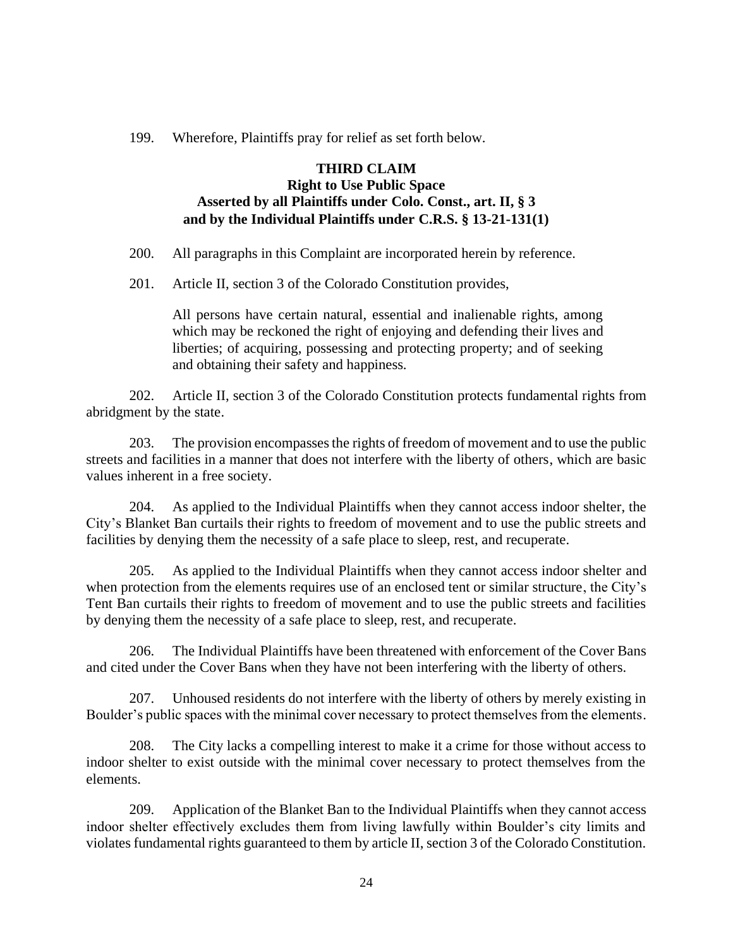199. Wherefore, Plaintiffs pray for relief as set forth below.

# **THIRD CLAIM Right to Use Public Space Asserted by all Plaintiffs under Colo. Const., art. II, § 3 and by the Individual Plaintiffs under C.R.S. § 13-21-131(1)**

200. All paragraphs in this Complaint are incorporated herein by reference.

201. Article II, section 3 of the Colorado Constitution provides,

All persons have certain natural, essential and inalienable rights, among which may be reckoned the right of enjoying and defending their lives and liberties; of acquiring, possessing and protecting property; and of seeking and obtaining their safety and happiness.

202. Article II, section 3 of the Colorado Constitution protects fundamental rights from abridgment by the state.

203. The provision encompasses the rights of freedom of movement and to use the public streets and facilities in a manner that does not interfere with the liberty of others, which are basic values inherent in a free society.

204. As applied to the Individual Plaintiffs when they cannot access indoor shelter, the City's Blanket Ban curtails their rights to freedom of movement and to use the public streets and facilities by denying them the necessity of a safe place to sleep, rest, and recuperate.

205. As applied to the Individual Plaintiffs when they cannot access indoor shelter and when protection from the elements requires use of an enclosed tent or similar structure, the City's Tent Ban curtails their rights to freedom of movement and to use the public streets and facilities by denying them the necessity of a safe place to sleep, rest, and recuperate.

206. The Individual Plaintiffs have been threatened with enforcement of the Cover Bans and cited under the Cover Bans when they have not been interfering with the liberty of others.

207. Unhoused residents do not interfere with the liberty of others by merely existing in Boulder's public spaces with the minimal cover necessary to protect themselves from the elements.

208. The City lacks a compelling interest to make it a crime for those without access to indoor shelter to exist outside with the minimal cover necessary to protect themselves from the elements.

209. Application of the Blanket Ban to the Individual Plaintiffs when they cannot access indoor shelter effectively excludes them from living lawfully within Boulder's city limits and violates fundamental rights guaranteed to them by article II, section 3 of the Colorado Constitution.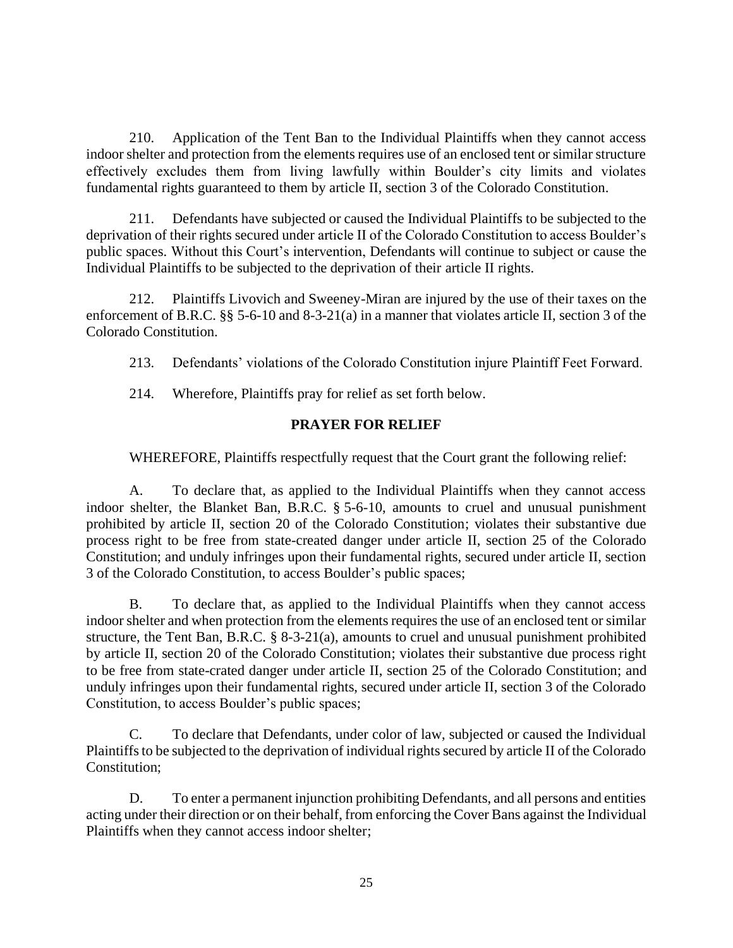210. Application of the Tent Ban to the Individual Plaintiffs when they cannot access indoor shelter and protection from the elements requires use of an enclosed tent or similar structure effectively excludes them from living lawfully within Boulder's city limits and violates fundamental rights guaranteed to them by article II, section 3 of the Colorado Constitution.

211. Defendants have subjected or caused the Individual Plaintiffs to be subjected to the deprivation of their rights secured under article II of the Colorado Constitution to access Boulder's public spaces. Without this Court's intervention, Defendants will continue to subject or cause the Individual Plaintiffs to be subjected to the deprivation of their article II rights.

212. Plaintiffs Livovich and Sweeney-Miran are injured by the use of their taxes on the enforcement of B.R.C. §§ 5-6-10 and 8-3-21(a) in a manner that violates article II, section 3 of the Colorado Constitution.

213. Defendants' violations of the Colorado Constitution injure Plaintiff Feet Forward.

214. Wherefore, Plaintiffs pray for relief as set forth below.

# **PRAYER FOR RELIEF**

WHEREFORE, Plaintiffs respectfully request that the Court grant the following relief:

A. To declare that, as applied to the Individual Plaintiffs when they cannot access indoor shelter, the Blanket Ban, B.R.C. § 5-6-10, amounts to cruel and unusual punishment prohibited by article II, section 20 of the Colorado Constitution; violates their substantive due process right to be free from state-created danger under article II, section 25 of the Colorado Constitution; and unduly infringes upon their fundamental rights, secured under article II, section 3 of the Colorado Constitution, to access Boulder's public spaces;

B. To declare that, as applied to the Individual Plaintiffs when they cannot access indoor shelter and when protection from the elements requires the use of an enclosed tent or similar structure, the Tent Ban, B.R.C. § 8-3-21(a), amounts to cruel and unusual punishment prohibited by article II, section 20 of the Colorado Constitution; violates their substantive due process right to be free from state-crated danger under article II, section 25 of the Colorado Constitution; and unduly infringes upon their fundamental rights, secured under article II, section 3 of the Colorado Constitution, to access Boulder's public spaces;

C. To declare that Defendants, under color of law, subjected or caused the Individual Plaintiffs to be subjected to the deprivation of individual rights secured by article II of the Colorado Constitution;

D. To enter a permanent injunction prohibiting Defendants, and all persons and entities acting under their direction or on their behalf, from enforcing the Cover Bans against the Individual Plaintiffs when they cannot access indoor shelter;